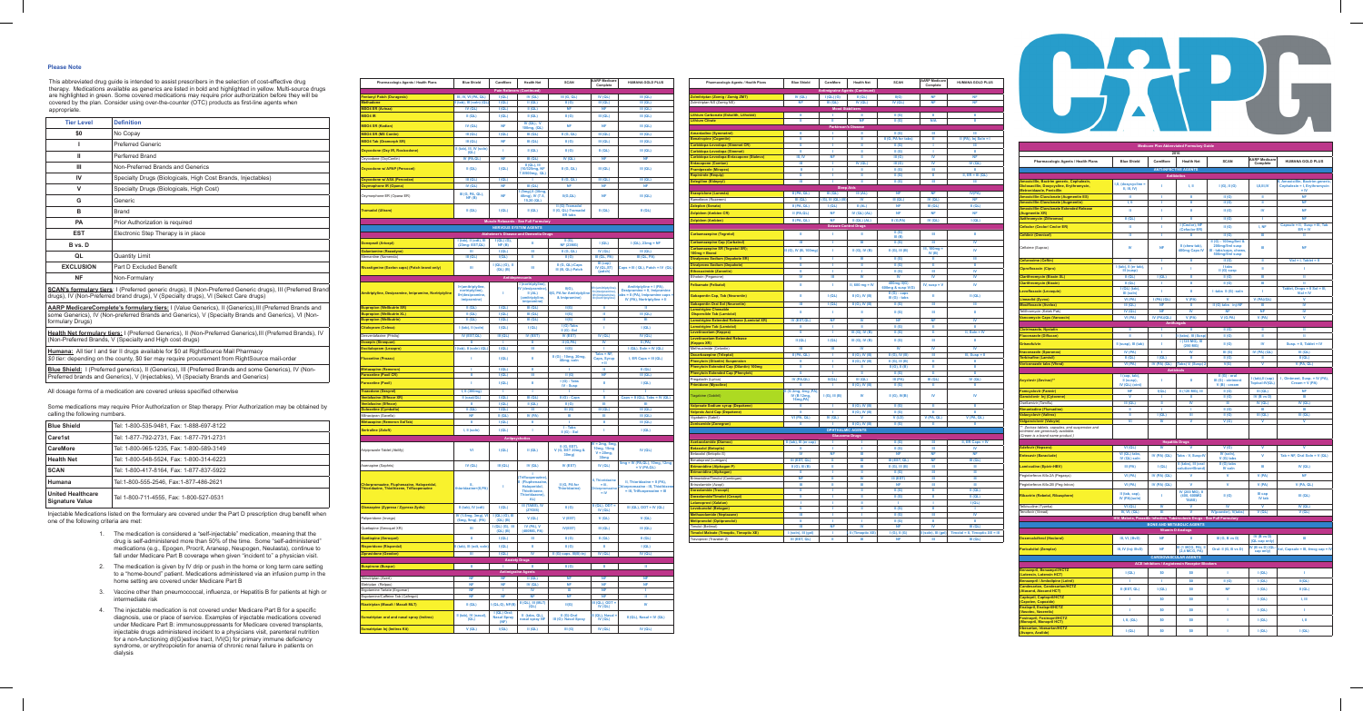| 2016<br><b>AARP Medicare</b><br>Pharmacologic Agents / Health Plans<br><b>Blue Shield</b><br>CareMore<br><b>Health Net</b><br><b>SCAN</b><br><b>HUMANA GOLD PLUS</b><br>Complete<br><b>ANTI-INFECTIVE AGENTS</b><br><b>Antibiotics</b><br>Amoxicillin, Bactrim generic, Cephalexin,<br>II, Amoxicillin, Bactrim generic.<br>I,II, (doxycycline =<br>Dicloxacillin, Doxycycline, Erythromycin,<br>1<br>1, II<br>I(G), II(G)<br>I,II,III,IV<br>Cephalexin = I, Erythromycin<br>II, III, IV<br>Metronidazole, Penicillin<br>$=$ IV<br><b>NF</b><br><b>Amoxicillin-Clavulanate (Augmentin ES)</b><br>Ш<br>п<br>Ш<br>II(G)<br>Ш<br>1, 11<br><b>Amoxicillin-Clavulanate (Augmentin)</b><br>f.<br>Ш<br>Ш<br><b>NF</b><br>II(G)<br><b>Amoxicillin-Clavulanate Extended Release</b><br>Ш<br>J.<br>Ш<br>IV<br><b>NF</b><br>II(G)<br>(Augmentin XR)<br><b>Azithromycin (Zithromax)</b><br>$II$ (QL)<br><b>NF</b><br>п<br>ш<br>II(G)<br>т<br>I (Ceclor), NF<br>Capsule = II, Susp = III, Tab<br>Ш<br>J.<br>I, NF<br><b>Cefaclor (Ceclor/ Ceclor ER)</b><br>II(G)<br>(Cefaclor ER)<br>$ER = IV$<br><b>Cefdinir (Omnicef)</b><br>Ш<br>J.<br>Ш<br>II(G)<br>Ш<br>Ħ<br>II (G) - 100mg/5ml &<br>II (chew tab),<br>200mg/5ml susp<br>IV<br><b>NF</b><br>Ш<br>NF<br>Cefixime (Suprax)<br>400mg Caps IV<br>III - tabs/caps, chews,<br>500mg/5ml susp<br><b>Cefuroxime (Ceftin)</b><br>Ш<br>J.<br>Ш<br>II(G)<br>$Vial = I, Table I = II$<br>ш<br>I (tab), II (er tab),<br>I tabs<br>f.<br>T.<br>п<br><b>Ciprofloxacin (Cipro)</b><br>т<br>II (G) susp<br>III (susp)<br><b>Clarithromycin (Biaxin XL)</b><br>II(QL)<br>I(QL)<br>Ш<br>II(G)<br>Ш<br>Ш<br><b>Clarithromycin (Biaxin)</b><br>$II$ (QL)<br>$\mathbf{m}$<br>$\mathbf{H}$<br>Ш<br>II(G)<br>-1<br>$I(QL)$ (tab),<br>Tablet, Drops = II Sol = III,<br>Ш<br>I-tabs II (G) -soln<br>Levofloxacin (Levaquin)<br>т<br>т<br>III (soln)<br>$Vial = IV$<br>V (PA)<br>v<br>VI (PA)<br><b>I (PA) (QL)</b><br>v<br>$V$ (PA)(QL)<br>Linezolid (Zyvox)<br>III (QL)<br><b>NF</b><br>Ш<br>II (G) tabs inj-NF<br>Ш<br>IV<br><b>Moxifloxacin (Avelox)</b><br>Telithromycin (Ketek Pak)<br>IV (QL)<br><b>NF</b><br>IV<br><b>NF</b><br>IV<br><b>NF</b><br>V<br>IV (PA)(QL)<br>V(PA)<br><b>Vancomycin Caps (Vancocin)</b><br>VI (PA)<br>$V$ (G,PA)<br>V (PA)<br><b>Antifungals</b><br><b>Clotrimazole, Nystatin</b><br>Ш<br>T.<br>Ш<br>II(G)<br>Ш<br>Ш<br>Ш<br>Il (tabs), III (Susp)<br>Ш<br><b>Fluconazole (Diflucan)</b><br>T<br>II(G)<br>Ш<br>I (125 MG), III<br>II (susp), III (tab)<br>T<br>IV<br>Susp. = II, Tablet = IV<br><b>Griseofulvin</b><br>II(G)<br>$(250$ MG)<br>IV (PA)<br>III(QL)<br><b>Itraconazole (Sporanox)</b><br>п<br>IV<br>III(G)<br>IV (PA) (QL)<br>I(QL)<br>$II$ (QL)<br>п<br>$II$ (QL)<br><b>Terbinafine (Lamisil)</b><br>II(G)<br>Ш<br>V (PA, QL)<br><b>Voriconazole tabs (Vfend)</b><br>VI (PA)<br>IV (PA) (QL)<br>(Tabs) V, (Susp) 2<br>V(G)<br>v<br><b>Antivirals</b><br>I (cap, tab),<br>$II(G)$ - oral<br>I (tab), Il (cap)<br>I, Ointment, Susp. = IV (PA),<br>Il (susp).<br>J.<br>H<br>III (G) - ointment<br>Acyclovir (Zovirax)**<br>Topical-IV(QL)<br>Cream = V (PA)<br>IV (QL) (oint)<br>$V(B)$ - cream<br><b>Famcyclovir (Famvir)</b><br><b>NF</b><br>I(QL)<br>II (125 MG), III<br>II(G)<br>$III$ (QL)<br><b>NF</b><br>V<br>II(G)<br>IV (B vs D)<br>Ш<br>Ganciclovir Inj (Cytovene)<br>1<br>Ш<br>III (QL)<br>IV<br>Oseltamivir (Tamiflu)<br>Ш<br>Ш<br>IV $(QL)$<br>$IV$ (QL)<br><b>Rimantadine (Flumadine)</b><br>Ш<br>T.<br>II(G)<br>Ш<br>Ш<br>п<br><b>Valacyclovir (Valtrex)</b><br>Ш<br>I(QL)<br>Ш<br>II(G)<br>III (QL)<br>III(QL)<br><b>Valganciclovir (Valcyte)</b><br>VI<br>IV<br>v<br>V(G)<br>٨<br>V<br>** Zovirax tablets, capsules, and suspension and<br>ointment are generically available.<br>(Cream is a brand name product.)<br><b>Hepatitis Drugs</b><br>VI (QL)<br>IV<br>V(G)<br>v<br>v<br><b>Adefovir (Hepsera)</b><br>v<br>VI (QL) tabs,<br>IV (soln),<br>IV (PA) (QL)<br>٧<br>Tab = NF, Oral Soln = $V$ (QL)<br><b>Entecavir (Baraclude)</b><br>Tabs - V, Susp-IV<br>IV (QL) soln<br>V (G) tabs<br>II (tabs), III (oral<br>II (G) tabs<br><b>Lamivudine (Epivir-HBV)</b><br>III (PA)<br>I(QL)<br>Ш<br>IV $(QL)$<br>solution=Brand)<br>IV soln<br>VI (PA)<br>IV (PA) (QL)<br>۷<br>۷<br>Peginterferon Alfa-2A (Pegasys)<br>V (PA)<br><b>NF</b><br>$\mathbf v$<br>V<br>Peginterferon Alfa-2B (Peg-Intron)<br>VI (PA)<br>IV (PA) (QL)<br>V(PA)<br>$V$ (PA, QL)<br>IV (200 MG), II<br>II (tab, cap),<br>III cap<br><b>Ribavirin (Rebetol, Ribasphere)</b><br>(400, 600MG<br>III(QL)<br>т<br>II(G)<br>IV (PA)(soln)<br><b>IV</b> tab<br><b>TABS)</b><br>VI (QL)<br>IV<br>۷<br>IV (QL)<br>Telbivudine (Tyzeka)<br>IV<br>v<br>V(QL)<br>Tenofovir (Viread)<br><b>IV, VI, (QL)</b><br>Ш<br>v<br>IV(powder), V(tabs)<br>V(QL)<br>HIV, Malaria, Parasitic Infection, Tuberculosis Drugs - See Full Formulary<br><b>BONE AND METABOLIC AGENTS</b><br><b>Vitamin D Analogs</b><br>IV(B vs D)<br>III, VI, (BvD)<br><b>NF</b><br>H.<br>Ш<br>III (G, B vs D)<br><b>Doxercalciferol (Hectorol)</b><br>(QL-cap only)<br>III (1 MCG, PA), II<br>IV (B vs D) (QL-<br><b>NF</b><br><b>Paricalcitol (Zemplar)</b><br>III, IV (Inj: BvD)<br>Oral- II (G, B vs D)<br>(2,4 MCG, PA)<br>cap only)<br><b>CARDIOVASCULAR AGENTS</b><br><b>ACE Inhibitors / Angiotensin Receptor Blockers</b><br>Benazepril, Benazepril/HCTZ<br>I(QL)<br>\$0<br>\$0<br>T<br>I(QL)<br>T.<br>(Lotensin, Lotensin HCT)<br><b>Benazepril / Amlodipine (Lotrel)</b><br>т.<br>\$0<br>II(G)<br>I(QL)<br>II(QL)<br>T.<br>Candesartan, Candesartan/HCTZ<br>II (EST, QL)<br>I(QL)<br>\$0<br><b>NF</b><br>I(QL)<br>$II$ (QL)<br>(Atacand, Atacand HCT)<br><b>Captopril, Captopril/HCTZ</b><br>T.<br>\$0<br>\$0<br>T.<br>I(QL)<br>1, 111<br>(Capoten, Capozide)<br>Enalapril, Enalapril/HCTZ<br>T.<br>\$0<br>\$0<br>T.<br>I(QL)<br>T.<br>(Vasotec, Vaseretic)<br><b>Fosinopril, Fosinopril/HCTZ</b><br>I, II, (QL)<br>\$0<br>\$0<br>T.<br>1, II<br>I(QL)<br>(Monopril, Monopril HCT)<br>Irbesartan, Irbesartan/HCTZ<br>T.<br>I(QL)<br>\$0<br>\$0<br>I(QL)<br>I(QL)<br>(Avapro, Avalide) | <b>Medicare Plan Abbreviated Formulary Guide</b> |  |  |  |  |  |                                    |  |  |  |
|-------------------------------------------------------------------------------------------------------------------------------------------------------------------------------------------------------------------------------------------------------------------------------------------------------------------------------------------------------------------------------------------------------------------------------------------------------------------------------------------------------------------------------------------------------------------------------------------------------------------------------------------------------------------------------------------------------------------------------------------------------------------------------------------------------------------------------------------------------------------------------------------------------------------------------------------------------------------------------------------------------------------------------------------------------------------------------------------------------------------------------------------------------------------------------------------------------------------------------------------------------------------------------------------------------------------------------------------------------------------------------------------------------------------------------------------------------------------------------------------------------------------------------------------------------------------------------------------------------------------------------------------------------------------------------------------------------------------------------------------------------------------------------------------------------------------------------------------------------------------------------------------------------------------------------------------------------------------------------------------------------------------------------------------------------------------------------------------------------------------------------------------------------------------------------------------------------------------------------------------------------------------------------------------------------------------------------------------------------------------------------------------------------------------------------------------------------------------------------------------------------------------------------------------------------------------------------------------------------------------------------------------------------------------------------------------------------------------------------------------------------------------------------------------------------------------------------------------------------------------------------------------------------------------------------------------------------------------------------------------------------------------------------------------------------------------------------------------------------------------------------------------------------------------------------------------------------------------------------------------------------------------------------------------------------------------------------------------------------------------------------------------------------------------------------------------------------------------------------------------------------------------------------------------------------------------------------------------------------------------------------------------------------------------------------------------------------------------------------------------------------------------------------------------------------------------------------------------------------------------------------------------------------------------------------------------------------------------------------------------------------------------------------------------------------------------------------------------------------------------------------------------------------------------------------------------------------------------------------------------------------------------------------------------------------------------------------------------------------------------------------------------------------------------------------------------------------------------------------------------------------------------------------------------------------------------------------------------------------------------------------------------------------------------------------------------------------------------------------------------------------------------------------------------------------------------------------------------------------------------------------------------------------------------------------------------------------------------------------------------------------------------------------------------------------------------------------------------------------------------------------------------------------------------------------------------------------------------------------------------------------------------------------------------------------------------------------------------------------------------------------------------------------------------------------------------------------------------------------------------------------------------------------------------------------------------------------------------------------------------------------------------------------------------------------------------------------------------------------------------------------------------------------------------------------------------------------------------------------------------------------------------------------------------------------------------------------------------------------------------------------------------------------------------------------------------------------------------------------|--------------------------------------------------|--|--|--|--|--|------------------------------------|--|--|--|
|                                                                                                                                                                                                                                                                                                                                                                                                                                                                                                                                                                                                                                                                                                                                                                                                                                                                                                                                                                                                                                                                                                                                                                                                                                                                                                                                                                                                                                                                                                                                                                                                                                                                                                                                                                                                                                                                                                                                                                                                                                                                                                                                                                                                                                                                                                                                                                                                                                                                                                                                                                                                                                                                                                                                                                                                                                                                                                                                                                                                                                                                                                                                                                                                                                                                                                                                                                                                                                                                                                                                                                                                                                                                                                                                                                                                                                                                                                                                                                                                                                                                                                                                                                                                                                                                                                                                                                                                                                                                                                                                                                                                                                                                                                                                                                                                                                                                                                                                                                                                                                                                                                                                                                                                                                                                                                                                                                                                                                                                                                                                                                                                                                                                                                                                                                                                                                                                                                                                                                                                                                                                                                       |                                                  |  |  |  |  |  |                                    |  |  |  |
|                                                                                                                                                                                                                                                                                                                                                                                                                                                                                                                                                                                                                                                                                                                                                                                                                                                                                                                                                                                                                                                                                                                                                                                                                                                                                                                                                                                                                                                                                                                                                                                                                                                                                                                                                                                                                                                                                                                                                                                                                                                                                                                                                                                                                                                                                                                                                                                                                                                                                                                                                                                                                                                                                                                                                                                                                                                                                                                                                                                                                                                                                                                                                                                                                                                                                                                                                                                                                                                                                                                                                                                                                                                                                                                                                                                                                                                                                                                                                                                                                                                                                                                                                                                                                                                                                                                                                                                                                                                                                                                                                                                                                                                                                                                                                                                                                                                                                                                                                                                                                                                                                                                                                                                                                                                                                                                                                                                                                                                                                                                                                                                                                                                                                                                                                                                                                                                                                                                                                                                                                                                                                                       |                                                  |  |  |  |  |  |                                    |  |  |  |
|                                                                                                                                                                                                                                                                                                                                                                                                                                                                                                                                                                                                                                                                                                                                                                                                                                                                                                                                                                                                                                                                                                                                                                                                                                                                                                                                                                                                                                                                                                                                                                                                                                                                                                                                                                                                                                                                                                                                                                                                                                                                                                                                                                                                                                                                                                                                                                                                                                                                                                                                                                                                                                                                                                                                                                                                                                                                                                                                                                                                                                                                                                                                                                                                                                                                                                                                                                                                                                                                                                                                                                                                                                                                                                                                                                                                                                                                                                                                                                                                                                                                                                                                                                                                                                                                                                                                                                                                                                                                                                                                                                                                                                                                                                                                                                                                                                                                                                                                                                                                                                                                                                                                                                                                                                                                                                                                                                                                                                                                                                                                                                                                                                                                                                                                                                                                                                                                                                                                                                                                                                                                                                       |                                                  |  |  |  |  |  |                                    |  |  |  |
|                                                                                                                                                                                                                                                                                                                                                                                                                                                                                                                                                                                                                                                                                                                                                                                                                                                                                                                                                                                                                                                                                                                                                                                                                                                                                                                                                                                                                                                                                                                                                                                                                                                                                                                                                                                                                                                                                                                                                                                                                                                                                                                                                                                                                                                                                                                                                                                                                                                                                                                                                                                                                                                                                                                                                                                                                                                                                                                                                                                                                                                                                                                                                                                                                                                                                                                                                                                                                                                                                                                                                                                                                                                                                                                                                                                                                                                                                                                                                                                                                                                                                                                                                                                                                                                                                                                                                                                                                                                                                                                                                                                                                                                                                                                                                                                                                                                                                                                                                                                                                                                                                                                                                                                                                                                                                                                                                                                                                                                                                                                                                                                                                                                                                                                                                                                                                                                                                                                                                                                                                                                                                                       |                                                  |  |  |  |  |  |                                    |  |  |  |
|                                                                                                                                                                                                                                                                                                                                                                                                                                                                                                                                                                                                                                                                                                                                                                                                                                                                                                                                                                                                                                                                                                                                                                                                                                                                                                                                                                                                                                                                                                                                                                                                                                                                                                                                                                                                                                                                                                                                                                                                                                                                                                                                                                                                                                                                                                                                                                                                                                                                                                                                                                                                                                                                                                                                                                                                                                                                                                                                                                                                                                                                                                                                                                                                                                                                                                                                                                                                                                                                                                                                                                                                                                                                                                                                                                                                                                                                                                                                                                                                                                                                                                                                                                                                                                                                                                                                                                                                                                                                                                                                                                                                                                                                                                                                                                                                                                                                                                                                                                                                                                                                                                                                                                                                                                                                                                                                                                                                                                                                                                                                                                                                                                                                                                                                                                                                                                                                                                                                                                                                                                                                                                       |                                                  |  |  |  |  |  |                                    |  |  |  |
|                                                                                                                                                                                                                                                                                                                                                                                                                                                                                                                                                                                                                                                                                                                                                                                                                                                                                                                                                                                                                                                                                                                                                                                                                                                                                                                                                                                                                                                                                                                                                                                                                                                                                                                                                                                                                                                                                                                                                                                                                                                                                                                                                                                                                                                                                                                                                                                                                                                                                                                                                                                                                                                                                                                                                                                                                                                                                                                                                                                                                                                                                                                                                                                                                                                                                                                                                                                                                                                                                                                                                                                                                                                                                                                                                                                                                                                                                                                                                                                                                                                                                                                                                                                                                                                                                                                                                                                                                                                                                                                                                                                                                                                                                                                                                                                                                                                                                                                                                                                                                                                                                                                                                                                                                                                                                                                                                                                                                                                                                                                                                                                                                                                                                                                                                                                                                                                                                                                                                                                                                                                                                                       |                                                  |  |  |  |  |  |                                    |  |  |  |
|                                                                                                                                                                                                                                                                                                                                                                                                                                                                                                                                                                                                                                                                                                                                                                                                                                                                                                                                                                                                                                                                                                                                                                                                                                                                                                                                                                                                                                                                                                                                                                                                                                                                                                                                                                                                                                                                                                                                                                                                                                                                                                                                                                                                                                                                                                                                                                                                                                                                                                                                                                                                                                                                                                                                                                                                                                                                                                                                                                                                                                                                                                                                                                                                                                                                                                                                                                                                                                                                                                                                                                                                                                                                                                                                                                                                                                                                                                                                                                                                                                                                                                                                                                                                                                                                                                                                                                                                                                                                                                                                                                                                                                                                                                                                                                                                                                                                                                                                                                                                                                                                                                                                                                                                                                                                                                                                                                                                                                                                                                                                                                                                                                                                                                                                                                                                                                                                                                                                                                                                                                                                                                       |                                                  |  |  |  |  |  |                                    |  |  |  |
|                                                                                                                                                                                                                                                                                                                                                                                                                                                                                                                                                                                                                                                                                                                                                                                                                                                                                                                                                                                                                                                                                                                                                                                                                                                                                                                                                                                                                                                                                                                                                                                                                                                                                                                                                                                                                                                                                                                                                                                                                                                                                                                                                                                                                                                                                                                                                                                                                                                                                                                                                                                                                                                                                                                                                                                                                                                                                                                                                                                                                                                                                                                                                                                                                                                                                                                                                                                                                                                                                                                                                                                                                                                                                                                                                                                                                                                                                                                                                                                                                                                                                                                                                                                                                                                                                                                                                                                                                                                                                                                                                                                                                                                                                                                                                                                                                                                                                                                                                                                                                                                                                                                                                                                                                                                                                                                                                                                                                                                                                                                                                                                                                                                                                                                                                                                                                                                                                                                                                                                                                                                                                                       |                                                  |  |  |  |  |  |                                    |  |  |  |
|                                                                                                                                                                                                                                                                                                                                                                                                                                                                                                                                                                                                                                                                                                                                                                                                                                                                                                                                                                                                                                                                                                                                                                                                                                                                                                                                                                                                                                                                                                                                                                                                                                                                                                                                                                                                                                                                                                                                                                                                                                                                                                                                                                                                                                                                                                                                                                                                                                                                                                                                                                                                                                                                                                                                                                                                                                                                                                                                                                                                                                                                                                                                                                                                                                                                                                                                                                                                                                                                                                                                                                                                                                                                                                                                                                                                                                                                                                                                                                                                                                                                                                                                                                                                                                                                                                                                                                                                                                                                                                                                                                                                                                                                                                                                                                                                                                                                                                                                                                                                                                                                                                                                                                                                                                                                                                                                                                                                                                                                                                                                                                                                                                                                                                                                                                                                                                                                                                                                                                                                                                                                                                       |                                                  |  |  |  |  |  |                                    |  |  |  |
|                                                                                                                                                                                                                                                                                                                                                                                                                                                                                                                                                                                                                                                                                                                                                                                                                                                                                                                                                                                                                                                                                                                                                                                                                                                                                                                                                                                                                                                                                                                                                                                                                                                                                                                                                                                                                                                                                                                                                                                                                                                                                                                                                                                                                                                                                                                                                                                                                                                                                                                                                                                                                                                                                                                                                                                                                                                                                                                                                                                                                                                                                                                                                                                                                                                                                                                                                                                                                                                                                                                                                                                                                                                                                                                                                                                                                                                                                                                                                                                                                                                                                                                                                                                                                                                                                                                                                                                                                                                                                                                                                                                                                                                                                                                                                                                                                                                                                                                                                                                                                                                                                                                                                                                                                                                                                                                                                                                                                                                                                                                                                                                                                                                                                                                                                                                                                                                                                                                                                                                                                                                                                                       |                                                  |  |  |  |  |  |                                    |  |  |  |
|                                                                                                                                                                                                                                                                                                                                                                                                                                                                                                                                                                                                                                                                                                                                                                                                                                                                                                                                                                                                                                                                                                                                                                                                                                                                                                                                                                                                                                                                                                                                                                                                                                                                                                                                                                                                                                                                                                                                                                                                                                                                                                                                                                                                                                                                                                                                                                                                                                                                                                                                                                                                                                                                                                                                                                                                                                                                                                                                                                                                                                                                                                                                                                                                                                                                                                                                                                                                                                                                                                                                                                                                                                                                                                                                                                                                                                                                                                                                                                                                                                                                                                                                                                                                                                                                                                                                                                                                                                                                                                                                                                                                                                                                                                                                                                                                                                                                                                                                                                                                                                                                                                                                                                                                                                                                                                                                                                                                                                                                                                                                                                                                                                                                                                                                                                                                                                                                                                                                                                                                                                                                                                       |                                                  |  |  |  |  |  |                                    |  |  |  |
|                                                                                                                                                                                                                                                                                                                                                                                                                                                                                                                                                                                                                                                                                                                                                                                                                                                                                                                                                                                                                                                                                                                                                                                                                                                                                                                                                                                                                                                                                                                                                                                                                                                                                                                                                                                                                                                                                                                                                                                                                                                                                                                                                                                                                                                                                                                                                                                                                                                                                                                                                                                                                                                                                                                                                                                                                                                                                                                                                                                                                                                                                                                                                                                                                                                                                                                                                                                                                                                                                                                                                                                                                                                                                                                                                                                                                                                                                                                                                                                                                                                                                                                                                                                                                                                                                                                                                                                                                                                                                                                                                                                                                                                                                                                                                                                                                                                                                                                                                                                                                                                                                                                                                                                                                                                                                                                                                                                                                                                                                                                                                                                                                                                                                                                                                                                                                                                                                                                                                                                                                                                                                                       |                                                  |  |  |  |  |  |                                    |  |  |  |
|                                                                                                                                                                                                                                                                                                                                                                                                                                                                                                                                                                                                                                                                                                                                                                                                                                                                                                                                                                                                                                                                                                                                                                                                                                                                                                                                                                                                                                                                                                                                                                                                                                                                                                                                                                                                                                                                                                                                                                                                                                                                                                                                                                                                                                                                                                                                                                                                                                                                                                                                                                                                                                                                                                                                                                                                                                                                                                                                                                                                                                                                                                                                                                                                                                                                                                                                                                                                                                                                                                                                                                                                                                                                                                                                                                                                                                                                                                                                                                                                                                                                                                                                                                                                                                                                                                                                                                                                                                                                                                                                                                                                                                                                                                                                                                                                                                                                                                                                                                                                                                                                                                                                                                                                                                                                                                                                                                                                                                                                                                                                                                                                                                                                                                                                                                                                                                                                                                                                                                                                                                                                                                       |                                                  |  |  |  |  |  |                                    |  |  |  |
|                                                                                                                                                                                                                                                                                                                                                                                                                                                                                                                                                                                                                                                                                                                                                                                                                                                                                                                                                                                                                                                                                                                                                                                                                                                                                                                                                                                                                                                                                                                                                                                                                                                                                                                                                                                                                                                                                                                                                                                                                                                                                                                                                                                                                                                                                                                                                                                                                                                                                                                                                                                                                                                                                                                                                                                                                                                                                                                                                                                                                                                                                                                                                                                                                                                                                                                                                                                                                                                                                                                                                                                                                                                                                                                                                                                                                                                                                                                                                                                                                                                                                                                                                                                                                                                                                                                                                                                                                                                                                                                                                                                                                                                                                                                                                                                                                                                                                                                                                                                                                                                                                                                                                                                                                                                                                                                                                                                                                                                                                                                                                                                                                                                                                                                                                                                                                                                                                                                                                                                                                                                                                                       |                                                  |  |  |  |  |  |                                    |  |  |  |
|                                                                                                                                                                                                                                                                                                                                                                                                                                                                                                                                                                                                                                                                                                                                                                                                                                                                                                                                                                                                                                                                                                                                                                                                                                                                                                                                                                                                                                                                                                                                                                                                                                                                                                                                                                                                                                                                                                                                                                                                                                                                                                                                                                                                                                                                                                                                                                                                                                                                                                                                                                                                                                                                                                                                                                                                                                                                                                                                                                                                                                                                                                                                                                                                                                                                                                                                                                                                                                                                                                                                                                                                                                                                                                                                                                                                                                                                                                                                                                                                                                                                                                                                                                                                                                                                                                                                                                                                                                                                                                                                                                                                                                                                                                                                                                                                                                                                                                                                                                                                                                                                                                                                                                                                                                                                                                                                                                                                                                                                                                                                                                                                                                                                                                                                                                                                                                                                                                                                                                                                                                                                                                       |                                                  |  |  |  |  |  |                                    |  |  |  |
|                                                                                                                                                                                                                                                                                                                                                                                                                                                                                                                                                                                                                                                                                                                                                                                                                                                                                                                                                                                                                                                                                                                                                                                                                                                                                                                                                                                                                                                                                                                                                                                                                                                                                                                                                                                                                                                                                                                                                                                                                                                                                                                                                                                                                                                                                                                                                                                                                                                                                                                                                                                                                                                                                                                                                                                                                                                                                                                                                                                                                                                                                                                                                                                                                                                                                                                                                                                                                                                                                                                                                                                                                                                                                                                                                                                                                                                                                                                                                                                                                                                                                                                                                                                                                                                                                                                                                                                                                                                                                                                                                                                                                                                                                                                                                                                                                                                                                                                                                                                                                                                                                                                                                                                                                                                                                                                                                                                                                                                                                                                                                                                                                                                                                                                                                                                                                                                                                                                                                                                                                                                                                                       |                                                  |  |  |  |  |  |                                    |  |  |  |
|                                                                                                                                                                                                                                                                                                                                                                                                                                                                                                                                                                                                                                                                                                                                                                                                                                                                                                                                                                                                                                                                                                                                                                                                                                                                                                                                                                                                                                                                                                                                                                                                                                                                                                                                                                                                                                                                                                                                                                                                                                                                                                                                                                                                                                                                                                                                                                                                                                                                                                                                                                                                                                                                                                                                                                                                                                                                                                                                                                                                                                                                                                                                                                                                                                                                                                                                                                                                                                                                                                                                                                                                                                                                                                                                                                                                                                                                                                                                                                                                                                                                                                                                                                                                                                                                                                                                                                                                                                                                                                                                                                                                                                                                                                                                                                                                                                                                                                                                                                                                                                                                                                                                                                                                                                                                                                                                                                                                                                                                                                                                                                                                                                                                                                                                                                                                                                                                                                                                                                                                                                                                                                       |                                                  |  |  |  |  |  |                                    |  |  |  |
|                                                                                                                                                                                                                                                                                                                                                                                                                                                                                                                                                                                                                                                                                                                                                                                                                                                                                                                                                                                                                                                                                                                                                                                                                                                                                                                                                                                                                                                                                                                                                                                                                                                                                                                                                                                                                                                                                                                                                                                                                                                                                                                                                                                                                                                                                                                                                                                                                                                                                                                                                                                                                                                                                                                                                                                                                                                                                                                                                                                                                                                                                                                                                                                                                                                                                                                                                                                                                                                                                                                                                                                                                                                                                                                                                                                                                                                                                                                                                                                                                                                                                                                                                                                                                                                                                                                                                                                                                                                                                                                                                                                                                                                                                                                                                                                                                                                                                                                                                                                                                                                                                                                                                                                                                                                                                                                                                                                                                                                                                                                                                                                                                                                                                                                                                                                                                                                                                                                                                                                                                                                                                                       |                                                  |  |  |  |  |  |                                    |  |  |  |
|                                                                                                                                                                                                                                                                                                                                                                                                                                                                                                                                                                                                                                                                                                                                                                                                                                                                                                                                                                                                                                                                                                                                                                                                                                                                                                                                                                                                                                                                                                                                                                                                                                                                                                                                                                                                                                                                                                                                                                                                                                                                                                                                                                                                                                                                                                                                                                                                                                                                                                                                                                                                                                                                                                                                                                                                                                                                                                                                                                                                                                                                                                                                                                                                                                                                                                                                                                                                                                                                                                                                                                                                                                                                                                                                                                                                                                                                                                                                                                                                                                                                                                                                                                                                                                                                                                                                                                                                                                                                                                                                                                                                                                                                                                                                                                                                                                                                                                                                                                                                                                                                                                                                                                                                                                                                                                                                                                                                                                                                                                                                                                                                                                                                                                                                                                                                                                                                                                                                                                                                                                                                                                       |                                                  |  |  |  |  |  |                                    |  |  |  |
|                                                                                                                                                                                                                                                                                                                                                                                                                                                                                                                                                                                                                                                                                                                                                                                                                                                                                                                                                                                                                                                                                                                                                                                                                                                                                                                                                                                                                                                                                                                                                                                                                                                                                                                                                                                                                                                                                                                                                                                                                                                                                                                                                                                                                                                                                                                                                                                                                                                                                                                                                                                                                                                                                                                                                                                                                                                                                                                                                                                                                                                                                                                                                                                                                                                                                                                                                                                                                                                                                                                                                                                                                                                                                                                                                                                                                                                                                                                                                                                                                                                                                                                                                                                                                                                                                                                                                                                                                                                                                                                                                                                                                                                                                                                                                                                                                                                                                                                                                                                                                                                                                                                                                                                                                                                                                                                                                                                                                                                                                                                                                                                                                                                                                                                                                                                                                                                                                                                                                                                                                                                                                                       |                                                  |  |  |  |  |  |                                    |  |  |  |
|                                                                                                                                                                                                                                                                                                                                                                                                                                                                                                                                                                                                                                                                                                                                                                                                                                                                                                                                                                                                                                                                                                                                                                                                                                                                                                                                                                                                                                                                                                                                                                                                                                                                                                                                                                                                                                                                                                                                                                                                                                                                                                                                                                                                                                                                                                                                                                                                                                                                                                                                                                                                                                                                                                                                                                                                                                                                                                                                                                                                                                                                                                                                                                                                                                                                                                                                                                                                                                                                                                                                                                                                                                                                                                                                                                                                                                                                                                                                                                                                                                                                                                                                                                                                                                                                                                                                                                                                                                                                                                                                                                                                                                                                                                                                                                                                                                                                                                                                                                                                                                                                                                                                                                                                                                                                                                                                                                                                                                                                                                                                                                                                                                                                                                                                                                                                                                                                                                                                                                                                                                                                                                       |                                                  |  |  |  |  |  |                                    |  |  |  |
|                                                                                                                                                                                                                                                                                                                                                                                                                                                                                                                                                                                                                                                                                                                                                                                                                                                                                                                                                                                                                                                                                                                                                                                                                                                                                                                                                                                                                                                                                                                                                                                                                                                                                                                                                                                                                                                                                                                                                                                                                                                                                                                                                                                                                                                                                                                                                                                                                                                                                                                                                                                                                                                                                                                                                                                                                                                                                                                                                                                                                                                                                                                                                                                                                                                                                                                                                                                                                                                                                                                                                                                                                                                                                                                                                                                                                                                                                                                                                                                                                                                                                                                                                                                                                                                                                                                                                                                                                                                                                                                                                                                                                                                                                                                                                                                                                                                                                                                                                                                                                                                                                                                                                                                                                                                                                                                                                                                                                                                                                                                                                                                                                                                                                                                                                                                                                                                                                                                                                                                                                                                                                                       |                                                  |  |  |  |  |  |                                    |  |  |  |
|                                                                                                                                                                                                                                                                                                                                                                                                                                                                                                                                                                                                                                                                                                                                                                                                                                                                                                                                                                                                                                                                                                                                                                                                                                                                                                                                                                                                                                                                                                                                                                                                                                                                                                                                                                                                                                                                                                                                                                                                                                                                                                                                                                                                                                                                                                                                                                                                                                                                                                                                                                                                                                                                                                                                                                                                                                                                                                                                                                                                                                                                                                                                                                                                                                                                                                                                                                                                                                                                                                                                                                                                                                                                                                                                                                                                                                                                                                                                                                                                                                                                                                                                                                                                                                                                                                                                                                                                                                                                                                                                                                                                                                                                                                                                                                                                                                                                                                                                                                                                                                                                                                                                                                                                                                                                                                                                                                                                                                                                                                                                                                                                                                                                                                                                                                                                                                                                                                                                                                                                                                                                                                       |                                                  |  |  |  |  |  |                                    |  |  |  |
|                                                                                                                                                                                                                                                                                                                                                                                                                                                                                                                                                                                                                                                                                                                                                                                                                                                                                                                                                                                                                                                                                                                                                                                                                                                                                                                                                                                                                                                                                                                                                                                                                                                                                                                                                                                                                                                                                                                                                                                                                                                                                                                                                                                                                                                                                                                                                                                                                                                                                                                                                                                                                                                                                                                                                                                                                                                                                                                                                                                                                                                                                                                                                                                                                                                                                                                                                                                                                                                                                                                                                                                                                                                                                                                                                                                                                                                                                                                                                                                                                                                                                                                                                                                                                                                                                                                                                                                                                                                                                                                                                                                                                                                                                                                                                                                                                                                                                                                                                                                                                                                                                                                                                                                                                                                                                                                                                                                                                                                                                                                                                                                                                                                                                                                                                                                                                                                                                                                                                                                                                                                                                                       |                                                  |  |  |  |  |  |                                    |  |  |  |
|                                                                                                                                                                                                                                                                                                                                                                                                                                                                                                                                                                                                                                                                                                                                                                                                                                                                                                                                                                                                                                                                                                                                                                                                                                                                                                                                                                                                                                                                                                                                                                                                                                                                                                                                                                                                                                                                                                                                                                                                                                                                                                                                                                                                                                                                                                                                                                                                                                                                                                                                                                                                                                                                                                                                                                                                                                                                                                                                                                                                                                                                                                                                                                                                                                                                                                                                                                                                                                                                                                                                                                                                                                                                                                                                                                                                                                                                                                                                                                                                                                                                                                                                                                                                                                                                                                                                                                                                                                                                                                                                                                                                                                                                                                                                                                                                                                                                                                                                                                                                                                                                                                                                                                                                                                                                                                                                                                                                                                                                                                                                                                                                                                                                                                                                                                                                                                                                                                                                                                                                                                                                                                       |                                                  |  |  |  |  |  |                                    |  |  |  |
|                                                                                                                                                                                                                                                                                                                                                                                                                                                                                                                                                                                                                                                                                                                                                                                                                                                                                                                                                                                                                                                                                                                                                                                                                                                                                                                                                                                                                                                                                                                                                                                                                                                                                                                                                                                                                                                                                                                                                                                                                                                                                                                                                                                                                                                                                                                                                                                                                                                                                                                                                                                                                                                                                                                                                                                                                                                                                                                                                                                                                                                                                                                                                                                                                                                                                                                                                                                                                                                                                                                                                                                                                                                                                                                                                                                                                                                                                                                                                                                                                                                                                                                                                                                                                                                                                                                                                                                                                                                                                                                                                                                                                                                                                                                                                                                                                                                                                                                                                                                                                                                                                                                                                                                                                                                                                                                                                                                                                                                                                                                                                                                                                                                                                                                                                                                                                                                                                                                                                                                                                                                                                                       |                                                  |  |  |  |  |  |                                    |  |  |  |
|                                                                                                                                                                                                                                                                                                                                                                                                                                                                                                                                                                                                                                                                                                                                                                                                                                                                                                                                                                                                                                                                                                                                                                                                                                                                                                                                                                                                                                                                                                                                                                                                                                                                                                                                                                                                                                                                                                                                                                                                                                                                                                                                                                                                                                                                                                                                                                                                                                                                                                                                                                                                                                                                                                                                                                                                                                                                                                                                                                                                                                                                                                                                                                                                                                                                                                                                                                                                                                                                                                                                                                                                                                                                                                                                                                                                                                                                                                                                                                                                                                                                                                                                                                                                                                                                                                                                                                                                                                                                                                                                                                                                                                                                                                                                                                                                                                                                                                                                                                                                                                                                                                                                                                                                                                                                                                                                                                                                                                                                                                                                                                                                                                                                                                                                                                                                                                                                                                                                                                                                                                                                                                       |                                                  |  |  |  |  |  |                                    |  |  |  |
|                                                                                                                                                                                                                                                                                                                                                                                                                                                                                                                                                                                                                                                                                                                                                                                                                                                                                                                                                                                                                                                                                                                                                                                                                                                                                                                                                                                                                                                                                                                                                                                                                                                                                                                                                                                                                                                                                                                                                                                                                                                                                                                                                                                                                                                                                                                                                                                                                                                                                                                                                                                                                                                                                                                                                                                                                                                                                                                                                                                                                                                                                                                                                                                                                                                                                                                                                                                                                                                                                                                                                                                                                                                                                                                                                                                                                                                                                                                                                                                                                                                                                                                                                                                                                                                                                                                                                                                                                                                                                                                                                                                                                                                                                                                                                                                                                                                                                                                                                                                                                                                                                                                                                                                                                                                                                                                                                                                                                                                                                                                                                                                                                                                                                                                                                                                                                                                                                                                                                                                                                                                                                                       |                                                  |  |  |  |  |  |                                    |  |  |  |
|                                                                                                                                                                                                                                                                                                                                                                                                                                                                                                                                                                                                                                                                                                                                                                                                                                                                                                                                                                                                                                                                                                                                                                                                                                                                                                                                                                                                                                                                                                                                                                                                                                                                                                                                                                                                                                                                                                                                                                                                                                                                                                                                                                                                                                                                                                                                                                                                                                                                                                                                                                                                                                                                                                                                                                                                                                                                                                                                                                                                                                                                                                                                                                                                                                                                                                                                                                                                                                                                                                                                                                                                                                                                                                                                                                                                                                                                                                                                                                                                                                                                                                                                                                                                                                                                                                                                                                                                                                                                                                                                                                                                                                                                                                                                                                                                                                                                                                                                                                                                                                                                                                                                                                                                                                                                                                                                                                                                                                                                                                                                                                                                                                                                                                                                                                                                                                                                                                                                                                                                                                                                                                       |                                                  |  |  |  |  |  |                                    |  |  |  |
|                                                                                                                                                                                                                                                                                                                                                                                                                                                                                                                                                                                                                                                                                                                                                                                                                                                                                                                                                                                                                                                                                                                                                                                                                                                                                                                                                                                                                                                                                                                                                                                                                                                                                                                                                                                                                                                                                                                                                                                                                                                                                                                                                                                                                                                                                                                                                                                                                                                                                                                                                                                                                                                                                                                                                                                                                                                                                                                                                                                                                                                                                                                                                                                                                                                                                                                                                                                                                                                                                                                                                                                                                                                                                                                                                                                                                                                                                                                                                                                                                                                                                                                                                                                                                                                                                                                                                                                                                                                                                                                                                                                                                                                                                                                                                                                                                                                                                                                                                                                                                                                                                                                                                                                                                                                                                                                                                                                                                                                                                                                                                                                                                                                                                                                                                                                                                                                                                                                                                                                                                                                                                                       |                                                  |  |  |  |  |  |                                    |  |  |  |
|                                                                                                                                                                                                                                                                                                                                                                                                                                                                                                                                                                                                                                                                                                                                                                                                                                                                                                                                                                                                                                                                                                                                                                                                                                                                                                                                                                                                                                                                                                                                                                                                                                                                                                                                                                                                                                                                                                                                                                                                                                                                                                                                                                                                                                                                                                                                                                                                                                                                                                                                                                                                                                                                                                                                                                                                                                                                                                                                                                                                                                                                                                                                                                                                                                                                                                                                                                                                                                                                                                                                                                                                                                                                                                                                                                                                                                                                                                                                                                                                                                                                                                                                                                                                                                                                                                                                                                                                                                                                                                                                                                                                                                                                                                                                                                                                                                                                                                                                                                                                                                                                                                                                                                                                                                                                                                                                                                                                                                                                                                                                                                                                                                                                                                                                                                                                                                                                                                                                                                                                                                                                                                       |                                                  |  |  |  |  |  |                                    |  |  |  |
|                                                                                                                                                                                                                                                                                                                                                                                                                                                                                                                                                                                                                                                                                                                                                                                                                                                                                                                                                                                                                                                                                                                                                                                                                                                                                                                                                                                                                                                                                                                                                                                                                                                                                                                                                                                                                                                                                                                                                                                                                                                                                                                                                                                                                                                                                                                                                                                                                                                                                                                                                                                                                                                                                                                                                                                                                                                                                                                                                                                                                                                                                                                                                                                                                                                                                                                                                                                                                                                                                                                                                                                                                                                                                                                                                                                                                                                                                                                                                                                                                                                                                                                                                                                                                                                                                                                                                                                                                                                                                                                                                                                                                                                                                                                                                                                                                                                                                                                                                                                                                                                                                                                                                                                                                                                                                                                                                                                                                                                                                                                                                                                                                                                                                                                                                                                                                                                                                                                                                                                                                                                                                                       |                                                  |  |  |  |  |  |                                    |  |  |  |
|                                                                                                                                                                                                                                                                                                                                                                                                                                                                                                                                                                                                                                                                                                                                                                                                                                                                                                                                                                                                                                                                                                                                                                                                                                                                                                                                                                                                                                                                                                                                                                                                                                                                                                                                                                                                                                                                                                                                                                                                                                                                                                                                                                                                                                                                                                                                                                                                                                                                                                                                                                                                                                                                                                                                                                                                                                                                                                                                                                                                                                                                                                                                                                                                                                                                                                                                                                                                                                                                                                                                                                                                                                                                                                                                                                                                                                                                                                                                                                                                                                                                                                                                                                                                                                                                                                                                                                                                                                                                                                                                                                                                                                                                                                                                                                                                                                                                                                                                                                                                                                                                                                                                                                                                                                                                                                                                                                                                                                                                                                                                                                                                                                                                                                                                                                                                                                                                                                                                                                                                                                                                                                       |                                                  |  |  |  |  |  |                                    |  |  |  |
|                                                                                                                                                                                                                                                                                                                                                                                                                                                                                                                                                                                                                                                                                                                                                                                                                                                                                                                                                                                                                                                                                                                                                                                                                                                                                                                                                                                                                                                                                                                                                                                                                                                                                                                                                                                                                                                                                                                                                                                                                                                                                                                                                                                                                                                                                                                                                                                                                                                                                                                                                                                                                                                                                                                                                                                                                                                                                                                                                                                                                                                                                                                                                                                                                                                                                                                                                                                                                                                                                                                                                                                                                                                                                                                                                                                                                                                                                                                                                                                                                                                                                                                                                                                                                                                                                                                                                                                                                                                                                                                                                                                                                                                                                                                                                                                                                                                                                                                                                                                                                                                                                                                                                                                                                                                                                                                                                                                                                                                                                                                                                                                                                                                                                                                                                                                                                                                                                                                                                                                                                                                                                                       |                                                  |  |  |  |  |  |                                    |  |  |  |
|                                                                                                                                                                                                                                                                                                                                                                                                                                                                                                                                                                                                                                                                                                                                                                                                                                                                                                                                                                                                                                                                                                                                                                                                                                                                                                                                                                                                                                                                                                                                                                                                                                                                                                                                                                                                                                                                                                                                                                                                                                                                                                                                                                                                                                                                                                                                                                                                                                                                                                                                                                                                                                                                                                                                                                                                                                                                                                                                                                                                                                                                                                                                                                                                                                                                                                                                                                                                                                                                                                                                                                                                                                                                                                                                                                                                                                                                                                                                                                                                                                                                                                                                                                                                                                                                                                                                                                                                                                                                                                                                                                                                                                                                                                                                                                                                                                                                                                                                                                                                                                                                                                                                                                                                                                                                                                                                                                                                                                                                                                                                                                                                                                                                                                                                                                                                                                                                                                                                                                                                                                                                                                       |                                                  |  |  |  |  |  |                                    |  |  |  |
|                                                                                                                                                                                                                                                                                                                                                                                                                                                                                                                                                                                                                                                                                                                                                                                                                                                                                                                                                                                                                                                                                                                                                                                                                                                                                                                                                                                                                                                                                                                                                                                                                                                                                                                                                                                                                                                                                                                                                                                                                                                                                                                                                                                                                                                                                                                                                                                                                                                                                                                                                                                                                                                                                                                                                                                                                                                                                                                                                                                                                                                                                                                                                                                                                                                                                                                                                                                                                                                                                                                                                                                                                                                                                                                                                                                                                                                                                                                                                                                                                                                                                                                                                                                                                                                                                                                                                                                                                                                                                                                                                                                                                                                                                                                                                                                                                                                                                                                                                                                                                                                                                                                                                                                                                                                                                                                                                                                                                                                                                                                                                                                                                                                                                                                                                                                                                                                                                                                                                                                                                                                                                                       |                                                  |  |  |  |  |  |                                    |  |  |  |
|                                                                                                                                                                                                                                                                                                                                                                                                                                                                                                                                                                                                                                                                                                                                                                                                                                                                                                                                                                                                                                                                                                                                                                                                                                                                                                                                                                                                                                                                                                                                                                                                                                                                                                                                                                                                                                                                                                                                                                                                                                                                                                                                                                                                                                                                                                                                                                                                                                                                                                                                                                                                                                                                                                                                                                                                                                                                                                                                                                                                                                                                                                                                                                                                                                                                                                                                                                                                                                                                                                                                                                                                                                                                                                                                                                                                                                                                                                                                                                                                                                                                                                                                                                                                                                                                                                                                                                                                                                                                                                                                                                                                                                                                                                                                                                                                                                                                                                                                                                                                                                                                                                                                                                                                                                                                                                                                                                                                                                                                                                                                                                                                                                                                                                                                                                                                                                                                                                                                                                                                                                                                                                       |                                                  |  |  |  |  |  |                                    |  |  |  |
|                                                                                                                                                                                                                                                                                                                                                                                                                                                                                                                                                                                                                                                                                                                                                                                                                                                                                                                                                                                                                                                                                                                                                                                                                                                                                                                                                                                                                                                                                                                                                                                                                                                                                                                                                                                                                                                                                                                                                                                                                                                                                                                                                                                                                                                                                                                                                                                                                                                                                                                                                                                                                                                                                                                                                                                                                                                                                                                                                                                                                                                                                                                                                                                                                                                                                                                                                                                                                                                                                                                                                                                                                                                                                                                                                                                                                                                                                                                                                                                                                                                                                                                                                                                                                                                                                                                                                                                                                                                                                                                                                                                                                                                                                                                                                                                                                                                                                                                                                                                                                                                                                                                                                                                                                                                                                                                                                                                                                                                                                                                                                                                                                                                                                                                                                                                                                                                                                                                                                                                                                                                                                                       |                                                  |  |  |  |  |  |                                    |  |  |  |
|                                                                                                                                                                                                                                                                                                                                                                                                                                                                                                                                                                                                                                                                                                                                                                                                                                                                                                                                                                                                                                                                                                                                                                                                                                                                                                                                                                                                                                                                                                                                                                                                                                                                                                                                                                                                                                                                                                                                                                                                                                                                                                                                                                                                                                                                                                                                                                                                                                                                                                                                                                                                                                                                                                                                                                                                                                                                                                                                                                                                                                                                                                                                                                                                                                                                                                                                                                                                                                                                                                                                                                                                                                                                                                                                                                                                                                                                                                                                                                                                                                                                                                                                                                                                                                                                                                                                                                                                                                                                                                                                                                                                                                                                                                                                                                                                                                                                                                                                                                                                                                                                                                                                                                                                                                                                                                                                                                                                                                                                                                                                                                                                                                                                                                                                                                                                                                                                                                                                                                                                                                                                                                       |                                                  |  |  |  |  |  |                                    |  |  |  |
|                                                                                                                                                                                                                                                                                                                                                                                                                                                                                                                                                                                                                                                                                                                                                                                                                                                                                                                                                                                                                                                                                                                                                                                                                                                                                                                                                                                                                                                                                                                                                                                                                                                                                                                                                                                                                                                                                                                                                                                                                                                                                                                                                                                                                                                                                                                                                                                                                                                                                                                                                                                                                                                                                                                                                                                                                                                                                                                                                                                                                                                                                                                                                                                                                                                                                                                                                                                                                                                                                                                                                                                                                                                                                                                                                                                                                                                                                                                                                                                                                                                                                                                                                                                                                                                                                                                                                                                                                                                                                                                                                                                                                                                                                                                                                                                                                                                                                                                                                                                                                                                                                                                                                                                                                                                                                                                                                                                                                                                                                                                                                                                                                                                                                                                                                                                                                                                                                                                                                                                                                                                                                                       |                                                  |  |  |  |  |  |                                    |  |  |  |
|                                                                                                                                                                                                                                                                                                                                                                                                                                                                                                                                                                                                                                                                                                                                                                                                                                                                                                                                                                                                                                                                                                                                                                                                                                                                                                                                                                                                                                                                                                                                                                                                                                                                                                                                                                                                                                                                                                                                                                                                                                                                                                                                                                                                                                                                                                                                                                                                                                                                                                                                                                                                                                                                                                                                                                                                                                                                                                                                                                                                                                                                                                                                                                                                                                                                                                                                                                                                                                                                                                                                                                                                                                                                                                                                                                                                                                                                                                                                                                                                                                                                                                                                                                                                                                                                                                                                                                                                                                                                                                                                                                                                                                                                                                                                                                                                                                                                                                                                                                                                                                                                                                                                                                                                                                                                                                                                                                                                                                                                                                                                                                                                                                                                                                                                                                                                                                                                                                                                                                                                                                                                                                       |                                                  |  |  |  |  |  |                                    |  |  |  |
|                                                                                                                                                                                                                                                                                                                                                                                                                                                                                                                                                                                                                                                                                                                                                                                                                                                                                                                                                                                                                                                                                                                                                                                                                                                                                                                                                                                                                                                                                                                                                                                                                                                                                                                                                                                                                                                                                                                                                                                                                                                                                                                                                                                                                                                                                                                                                                                                                                                                                                                                                                                                                                                                                                                                                                                                                                                                                                                                                                                                                                                                                                                                                                                                                                                                                                                                                                                                                                                                                                                                                                                                                                                                                                                                                                                                                                                                                                                                                                                                                                                                                                                                                                                                                                                                                                                                                                                                                                                                                                                                                                                                                                                                                                                                                                                                                                                                                                                                                                                                                                                                                                                                                                                                                                                                                                                                                                                                                                                                                                                                                                                                                                                                                                                                                                                                                                                                                                                                                                                                                                                                                                       |                                                  |  |  |  |  |  |                                    |  |  |  |
|                                                                                                                                                                                                                                                                                                                                                                                                                                                                                                                                                                                                                                                                                                                                                                                                                                                                                                                                                                                                                                                                                                                                                                                                                                                                                                                                                                                                                                                                                                                                                                                                                                                                                                                                                                                                                                                                                                                                                                                                                                                                                                                                                                                                                                                                                                                                                                                                                                                                                                                                                                                                                                                                                                                                                                                                                                                                                                                                                                                                                                                                                                                                                                                                                                                                                                                                                                                                                                                                                                                                                                                                                                                                                                                                                                                                                                                                                                                                                                                                                                                                                                                                                                                                                                                                                                                                                                                                                                                                                                                                                                                                                                                                                                                                                                                                                                                                                                                                                                                                                                                                                                                                                                                                                                                                                                                                                                                                                                                                                                                                                                                                                                                                                                                                                                                                                                                                                                                                                                                                                                                                                                       |                                                  |  |  |  |  |  |                                    |  |  |  |
|                                                                                                                                                                                                                                                                                                                                                                                                                                                                                                                                                                                                                                                                                                                                                                                                                                                                                                                                                                                                                                                                                                                                                                                                                                                                                                                                                                                                                                                                                                                                                                                                                                                                                                                                                                                                                                                                                                                                                                                                                                                                                                                                                                                                                                                                                                                                                                                                                                                                                                                                                                                                                                                                                                                                                                                                                                                                                                                                                                                                                                                                                                                                                                                                                                                                                                                                                                                                                                                                                                                                                                                                                                                                                                                                                                                                                                                                                                                                                                                                                                                                                                                                                                                                                                                                                                                                                                                                                                                                                                                                                                                                                                                                                                                                                                                                                                                                                                                                                                                                                                                                                                                                                                                                                                                                                                                                                                                                                                                                                                                                                                                                                                                                                                                                                                                                                                                                                                                                                                                                                                                                                                       |                                                  |  |  |  |  |  | Vial, Capsule = III, 4mcg cap = IV |  |  |  |
|                                                                                                                                                                                                                                                                                                                                                                                                                                                                                                                                                                                                                                                                                                                                                                                                                                                                                                                                                                                                                                                                                                                                                                                                                                                                                                                                                                                                                                                                                                                                                                                                                                                                                                                                                                                                                                                                                                                                                                                                                                                                                                                                                                                                                                                                                                                                                                                                                                                                                                                                                                                                                                                                                                                                                                                                                                                                                                                                                                                                                                                                                                                                                                                                                                                                                                                                                                                                                                                                                                                                                                                                                                                                                                                                                                                                                                                                                                                                                                                                                                                                                                                                                                                                                                                                                                                                                                                                                                                                                                                                                                                                                                                                                                                                                                                                                                                                                                                                                                                                                                                                                                                                                                                                                                                                                                                                                                                                                                                                                                                                                                                                                                                                                                                                                                                                                                                                                                                                                                                                                                                                                                       |                                                  |  |  |  |  |  |                                    |  |  |  |
|                                                                                                                                                                                                                                                                                                                                                                                                                                                                                                                                                                                                                                                                                                                                                                                                                                                                                                                                                                                                                                                                                                                                                                                                                                                                                                                                                                                                                                                                                                                                                                                                                                                                                                                                                                                                                                                                                                                                                                                                                                                                                                                                                                                                                                                                                                                                                                                                                                                                                                                                                                                                                                                                                                                                                                                                                                                                                                                                                                                                                                                                                                                                                                                                                                                                                                                                                                                                                                                                                                                                                                                                                                                                                                                                                                                                                                                                                                                                                                                                                                                                                                                                                                                                                                                                                                                                                                                                                                                                                                                                                                                                                                                                                                                                                                                                                                                                                                                                                                                                                                                                                                                                                                                                                                                                                                                                                                                                                                                                                                                                                                                                                                                                                                                                                                                                                                                                                                                                                                                                                                                                                                       |                                                  |  |  |  |  |  |                                    |  |  |  |
|                                                                                                                                                                                                                                                                                                                                                                                                                                                                                                                                                                                                                                                                                                                                                                                                                                                                                                                                                                                                                                                                                                                                                                                                                                                                                                                                                                                                                                                                                                                                                                                                                                                                                                                                                                                                                                                                                                                                                                                                                                                                                                                                                                                                                                                                                                                                                                                                                                                                                                                                                                                                                                                                                                                                                                                                                                                                                                                                                                                                                                                                                                                                                                                                                                                                                                                                                                                                                                                                                                                                                                                                                                                                                                                                                                                                                                                                                                                                                                                                                                                                                                                                                                                                                                                                                                                                                                                                                                                                                                                                                                                                                                                                                                                                                                                                                                                                                                                                                                                                                                                                                                                                                                                                                                                                                                                                                                                                                                                                                                                                                                                                                                                                                                                                                                                                                                                                                                                                                                                                                                                                                                       |                                                  |  |  |  |  |  |                                    |  |  |  |
|                                                                                                                                                                                                                                                                                                                                                                                                                                                                                                                                                                                                                                                                                                                                                                                                                                                                                                                                                                                                                                                                                                                                                                                                                                                                                                                                                                                                                                                                                                                                                                                                                                                                                                                                                                                                                                                                                                                                                                                                                                                                                                                                                                                                                                                                                                                                                                                                                                                                                                                                                                                                                                                                                                                                                                                                                                                                                                                                                                                                                                                                                                                                                                                                                                                                                                                                                                                                                                                                                                                                                                                                                                                                                                                                                                                                                                                                                                                                                                                                                                                                                                                                                                                                                                                                                                                                                                                                                                                                                                                                                                                                                                                                                                                                                                                                                                                                                                                                                                                                                                                                                                                                                                                                                                                                                                                                                                                                                                                                                                                                                                                                                                                                                                                                                                                                                                                                                                                                                                                                                                                                                                       |                                                  |  |  |  |  |  |                                    |  |  |  |
|                                                                                                                                                                                                                                                                                                                                                                                                                                                                                                                                                                                                                                                                                                                                                                                                                                                                                                                                                                                                                                                                                                                                                                                                                                                                                                                                                                                                                                                                                                                                                                                                                                                                                                                                                                                                                                                                                                                                                                                                                                                                                                                                                                                                                                                                                                                                                                                                                                                                                                                                                                                                                                                                                                                                                                                                                                                                                                                                                                                                                                                                                                                                                                                                                                                                                                                                                                                                                                                                                                                                                                                                                                                                                                                                                                                                                                                                                                                                                                                                                                                                                                                                                                                                                                                                                                                                                                                                                                                                                                                                                                                                                                                                                                                                                                                                                                                                                                                                                                                                                                                                                                                                                                                                                                                                                                                                                                                                                                                                                                                                                                                                                                                                                                                                                                                                                                                                                                                                                                                                                                                                                                       |                                                  |  |  |  |  |  |                                    |  |  |  |
|                                                                                                                                                                                                                                                                                                                                                                                                                                                                                                                                                                                                                                                                                                                                                                                                                                                                                                                                                                                                                                                                                                                                                                                                                                                                                                                                                                                                                                                                                                                                                                                                                                                                                                                                                                                                                                                                                                                                                                                                                                                                                                                                                                                                                                                                                                                                                                                                                                                                                                                                                                                                                                                                                                                                                                                                                                                                                                                                                                                                                                                                                                                                                                                                                                                                                                                                                                                                                                                                                                                                                                                                                                                                                                                                                                                                                                                                                                                                                                                                                                                                                                                                                                                                                                                                                                                                                                                                                                                                                                                                                                                                                                                                                                                                                                                                                                                                                                                                                                                                                                                                                                                                                                                                                                                                                                                                                                                                                                                                                                                                                                                                                                                                                                                                                                                                                                                                                                                                                                                                                                                                                                       |                                                  |  |  |  |  |  |                                    |  |  |  |
|                                                                                                                                                                                                                                                                                                                                                                                                                                                                                                                                                                                                                                                                                                                                                                                                                                                                                                                                                                                                                                                                                                                                                                                                                                                                                                                                                                                                                                                                                                                                                                                                                                                                                                                                                                                                                                                                                                                                                                                                                                                                                                                                                                                                                                                                                                                                                                                                                                                                                                                                                                                                                                                                                                                                                                                                                                                                                                                                                                                                                                                                                                                                                                                                                                                                                                                                                                                                                                                                                                                                                                                                                                                                                                                                                                                                                                                                                                                                                                                                                                                                                                                                                                                                                                                                                                                                                                                                                                                                                                                                                                                                                                                                                                                                                                                                                                                                                                                                                                                                                                                                                                                                                                                                                                                                                                                                                                                                                                                                                                                                                                                                                                                                                                                                                                                                                                                                                                                                                                                                                                                                                                       |                                                  |  |  |  |  |  |                                    |  |  |  |
|                                                                                                                                                                                                                                                                                                                                                                                                                                                                                                                                                                                                                                                                                                                                                                                                                                                                                                                                                                                                                                                                                                                                                                                                                                                                                                                                                                                                                                                                                                                                                                                                                                                                                                                                                                                                                                                                                                                                                                                                                                                                                                                                                                                                                                                                                                                                                                                                                                                                                                                                                                                                                                                                                                                                                                                                                                                                                                                                                                                                                                                                                                                                                                                                                                                                                                                                                                                                                                                                                                                                                                                                                                                                                                                                                                                                                                                                                                                                                                                                                                                                                                                                                                                                                                                                                                                                                                                                                                                                                                                                                                                                                                                                                                                                                                                                                                                                                                                                                                                                                                                                                                                                                                                                                                                                                                                                                                                                                                                                                                                                                                                                                                                                                                                                                                                                                                                                                                                                                                                                                                                                                                       |                                                  |  |  |  |  |  |                                    |  |  |  |
|                                                                                                                                                                                                                                                                                                                                                                                                                                                                                                                                                                                                                                                                                                                                                                                                                                                                                                                                                                                                                                                                                                                                                                                                                                                                                                                                                                                                                                                                                                                                                                                                                                                                                                                                                                                                                                                                                                                                                                                                                                                                                                                                                                                                                                                                                                                                                                                                                                                                                                                                                                                                                                                                                                                                                                                                                                                                                                                                                                                                                                                                                                                                                                                                                                                                                                                                                                                                                                                                                                                                                                                                                                                                                                                                                                                                                                                                                                                                                                                                                                                                                                                                                                                                                                                                                                                                                                                                                                                                                                                                                                                                                                                                                                                                                                                                                                                                                                                                                                                                                                                                                                                                                                                                                                                                                                                                                                                                                                                                                                                                                                                                                                                                                                                                                                                                                                                                                                                                                                                                                                                                                                       |                                                  |  |  |  |  |  |                                    |  |  |  |

 $\overline{\phantom{a}}$ 

| Pharmacologic Agents / Health Plans                                                      | <b>Blue Shield</b>                        | CareMore                       | <b>Health Net</b>                                                                                    | <b>SCAN</b>                                       | <b>AARP Medicare</b><br>Complete                         | <b>HUMANA GOLD PLUS</b>                                                                          | Pharmacologio                                                                                                                       |
|------------------------------------------------------------------------------------------|-------------------------------------------|--------------------------------|------------------------------------------------------------------------------------------------------|---------------------------------------------------|----------------------------------------------------------|--------------------------------------------------------------------------------------------------|-------------------------------------------------------------------------------------------------------------------------------------|
| <b>Fentanyl Patch (Duragesic)</b>                                                        | III, IV, VI (PA, QL)                      | I(QL)                          | <b>Pain Relievers (Continued)</b><br>IV (QL)                                                         | <b>III (G, QL)</b>                                | IV (QL)                                                  | $III$ (QL)                                                                                       | Zolmitriptan (Zomig / Z                                                                                                             |
| <b>Methadone</b>                                                                         | II (tab), III (soln) (QL)                 | I(QL)                          | II(QL)                                                                                               | II(G)                                             | $III$ (QL)                                               | $III$ (QL)                                                                                       | Zolmitriptan NS (Zomig I                                                                                                            |
| <b>MSO4 ER (Avinza)</b>                                                                  | IV (QL)                                   | I(QL)                          | II(QL)                                                                                               | <b>NF</b>                                         | <b>NF</b>                                                | $III$ (QL)                                                                                       |                                                                                                                                     |
| <b>MSO4 IR</b>                                                                           | $II$ (QL)                                 | I(QL)                          | II(QL)                                                                                               | II(G)                                             | III (QL)                                                 | $III$ (QL)                                                                                       | <b>Lithium Carbonate (Esl</b>                                                                                                       |
| <b>MSO4 SR (Kadian)</b>                                                                  | IV (QL)                                   | <b>NF</b>                      | IV (QL), V                                                                                           | <b>NF</b>                                         | <b>NF</b>                                                | $III$ (QL)                                                                                       | <b>Lithium Citrate</b>                                                                                                              |
| <b>MSO4 SR (MS Contin)</b>                                                               | III(QL)                                   | I(QL)                          | 100mg, (QL)<br>$III$ (QL)                                                                            | II(G, QL)                                         | III (QL)                                                 | $III$ (QL)                                                                                       | <b>Amantadine (Symmetre</b>                                                                                                         |
| <b>MSO4 Tab (Oramorph SR)</b>                                                            | III (QL)                                  | <b>NF</b>                      | III(QL)                                                                                              | II(G)                                             | $III$ (QL)                                               | $III$ (QL)                                                                                       | <b>Benztropine (Cogentin)</b>                                                                                                       |
|                                                                                          | II (tab), III, IV (soln)                  |                                |                                                                                                      |                                                   |                                                          |                                                                                                  | Carbidopa-Levodopa (                                                                                                                |
| Oxycodone (Oxy IR, Roxicodone)                                                           | (QL)                                      | J.                             | $II$ (QL)                                                                                            | II(G)                                             | $II$ (QL)                                                | $III$ (QL)                                                                                       | Carbidopa-Levodopa (                                                                                                                |
| Oxycodone (OxyContin)                                                                    | IV (PA, QL)                               | <b>NF</b>                      | $III$ (QL)                                                                                           | IV (QL)                                           | <b>NF</b>                                                | <b>NF</b>                                                                                        | Carbidopa-Levodopa-E<br><b>Entacapone (Comtan)</b>                                                                                  |
| <b>Oxycodone w/ APAP (Percocet)</b>                                                      | II(QL)                                    | I(QL)                          | $II$ (QL), $III$<br>(10/325mg, NF                                                                    | $II$ (G, QL)                                      | $III$ (QL)                                               | $III$ (QL)                                                                                       | <b>Pramipexole (Mirapex)</b>                                                                                                        |
|                                                                                          |                                           |                                | 7.5/500mg, QL)                                                                                       |                                                   |                                                          |                                                                                                  | <b>Ropinirole (Requip)</b>                                                                                                          |
| Oxycodone w/ ASA (Percodan)<br><b>Oxymophone IR (Opana)</b>                              | $III$ (QL)<br>IV (QL)                     | I(QL)<br><b>NF</b>             | $III$ (QL)                                                                                           | $II$ (G, QL)<br><b>NF</b>                         | III (QL)<br><b>NF</b>                                    | $III$ (QL)<br><b>NF</b>                                                                          | Selegiline (Eldepryl)                                                                                                               |
|                                                                                          | III (G, PA, QL),                          |                                | (5mg), II (30mg,                                                                                     |                                                   |                                                          |                                                                                                  | <b>Eszopicione (Lunesta)</b>                                                                                                        |
| Oxymorphone ER (Opana ER)                                                                | NF(B)                                     | <b>NF</b>                      | 40mg), IV (7.5,<br>15,20 (QL)                                                                        | II(G, QL)                                         | <b>NF</b>                                                | $III$ (QL)                                                                                       | Ramelteon (Rozerem)                                                                                                                 |
|                                                                                          |                                           |                                |                                                                                                      | II (G)-Tramadol                                   |                                                          |                                                                                                  | <b>Zaleplon (Sonata)</b>                                                                                                            |
| <b>Tramadol (Ultram)</b>                                                                 | $II$ (QL)                                 | I(QL)                          | II(QL)                                                                                               | II (G, QL)-Tramadol<br><b>ER</b> tabs             | $II$ (QL)                                                | $II$ (QL)                                                                                        | <b>Zolpidem (Ambien CR)</b>                                                                                                         |
|                                                                                          |                                           |                                | <b>Muscle Relaxants - See Full Formulary</b>                                                         |                                                   |                                                          |                                                                                                  | <b>Zolpidem (Ambien)</b>                                                                                                            |
|                                                                                          |                                           |                                | <b>NERVOUS SYSTEM AGENTS</b>                                                                         |                                                   |                                                          |                                                                                                  |                                                                                                                                     |
|                                                                                          |                                           |                                | Alzheimer's Disease and Dementia Drugs                                                               |                                                   |                                                          |                                                                                                  | <b>Carbamazepine (Tegret</b>                                                                                                        |
| <b>Donepezil (Aricept)</b>                                                               | I (tab), II (odt), III<br>(23mg: EST, QL) | $I(QL)$ (G),<br>NF(B)          | Ш                                                                                                    | II (G),<br><b>NF (23MG)</b>                       | I(QL)                                                    | $I(QL)$ , 23mg = NF                                                                              | <b>Carbamazepine Cap (C</b>                                                                                                         |
| <b>Galantamine (Razadyne)</b>                                                            | Ш                                         | I(QL)                          | Ш                                                                                                    | II(G, QL)                                         | IV (QL)                                                  | $III$ (QL)                                                                                       | <b>Carbamazepine SR (Te</b><br>$100mg = Brand$                                                                                      |
| Memantine (Namenda)                                                                      | III(QL)                                   | I(QL)                          | Ш                                                                                                    | II(G)                                             | III (QL, PA)                                             | III (QL, PA)                                                                                     | <b>Divalproex Sodium (De</b>                                                                                                        |
| Rivastigmine (Exelon caps) (Patch brand only)                                            | Ш                                         | $I(QL)$ (G), $II$              | Ш                                                                                                    | II (G, QL)-Caps                                   | III (cap)<br>IV (QL,ST)                                  | Caps = III ( QL), Patch = IV (QL)                                                                | <b>Divalproex Sodium (De</b>                                                                                                        |
|                                                                                          |                                           | (QL) (B)                       |                                                                                                      | III (B, QL)-Patch                                 | (patch)                                                  |                                                                                                  | <b>Ethosuximide (Zarontir</b>                                                                                                       |
|                                                                                          |                                           |                                | Antidepressants                                                                                      |                                                   |                                                          |                                                                                                  | Ethotoin (Peganone)                                                                                                                 |
|                                                                                          | l=(amitriptyline,                         |                                | I (nortriptyline),<br>IV (desipramine)                                                               | $II(G)$ ,                                         | IV=(amitriptyline)                                       | Amitriptyline = I (PA),                                                                          | <b>Felbamate (Felbatol)</b>                                                                                                         |
| Amitriptyline, Desipramine, Imipramine, Nortriptyline                                    | nortriptyline),<br>II=(desipramine,       | п                              | II(AL)<br>(amitriptyline,                                                                            | <b>I(G, PA for Amitriptyline</b><br>& Imipramine) | II=(desipramine),<br>IV=(imipramine),                    | Desipramine = II, Imipramine<br>abs = II (PA), Imipramine caps                                   | Gabapentin Cap, Tab (I                                                                                                              |
|                                                                                          | imipramine)                               |                                | imipramine)                                                                                          |                                                   | II=(nortriptyline)                                       | IV (PA), Nortriptyline = II                                                                      | <b>Gabapentin Oral Sol (N</b>                                                                                                       |
| <b>Bupropion (Wellbutrin SR)</b>                                                         | II(QL)                                    | I(QL)                          | III (QL)                                                                                             | II(G)                                             | Ш                                                        | Ш                                                                                                | <b>Lamotrigine Chewable</b>                                                                                                         |
| <b>Bupropion (Wellbutrin XL)</b><br><b>Bupropion (Wellbutrin)</b>                        | II(QL)<br>II(QL)                          | I(QL)<br>I(QL)                 | III (QL)<br>III (QL)                                                                                 | II(G)<br>II(G)                                    | $\mathbf{H}$<br>Ш                                        | III (QL)<br>Ш                                                                                    | <b>Dispersible Tab (Lamid</b>                                                                                                       |
|                                                                                          |                                           |                                |                                                                                                      | I (G)-Tabs                                        |                                                          |                                                                                                  | <b>Lamotrigine Extended</b><br><b>Lamotrigine Tab (Lami</b>                                                                         |
| Citalopram (Celexa)                                                                      | I (tab), II (soln)                        | I(QL)                          | I(QL)                                                                                                | $II$ (G) -Sol                                     | T                                                        | I(QL)                                                                                            | Levetiracetam (Keppra                                                                                                               |
| Desvenlafaxine (Pristiq)<br><b>Doxepin (Sinequan)</b>                                    | IV (EST, QL)<br>ш                         | $III$ (QL)<br>J.               | IV (EST)<br>Ш                                                                                        | IV (EST)<br>II(G, PA)                             | IV (QL)<br>IV                                            | IV (QL)<br>II(PA)                                                                                | <b>Levetiracetam Extende</b>                                                                                                        |
| <b>Escitalopram (Lexapro)</b>                                                            | I (tab), II (soln) (QL)                   | I(QL)                          | Ш                                                                                                    | II(G)                                             |                                                          | $I (QL),$ Soln = IV (QL)                                                                         | (Keppra XR)<br>Methsuximide (Celontin)                                                                                              |
|                                                                                          |                                           |                                |                                                                                                      | II (G) - 10mg, 20mg,                              | $Tabs = NF$                                              |                                                                                                  | <b>Oxcarbazepine (Trilept</b>                                                                                                       |
| <b>Fluoxetine (Prozac)</b>                                                               | т                                         | I(QL)                          | Ш                                                                                                    | 40mg; soln                                        | Caps, Syrup<br>$=$ $\parallel$                           | I, ER Caps = III (QL)                                                                            | <b>Phenytoin (Dilantin) Su</b>                                                                                                      |
| <b>Mirtazapine (Remeron)</b>                                                             | т                                         | I(QL)                          | Ш                                                                                                    |                                                   | Ш                                                        | II(QL)                                                                                           | <b>Phenytoin Extended Ca</b>                                                                                                        |
| <b>Paroxetine (Paxil CR)</b>                                                             | Ш                                         | I(QL)                          | Ш                                                                                                    | II(G)                                             | <b>NF</b>                                                | III (QL)                                                                                         | <b>Phenytoin Extended Ca</b><br>Pregabalin (Lyrica)                                                                                 |
| <b>Paroxetine (Paxil)</b>                                                                | т                                         | I(QL)                          | Ш                                                                                                    | $I(G)$ - Tabs<br>IV - Susp                        | Ш                                                        | I(QL)                                                                                            | <b>Primidone (Mysoline)</b>                                                                                                         |
| <b>Trazodone (Desyrel)</b>                                                               | I, II (300mg)                             |                                | ı                                                                                                    |                                                   | I                                                        |                                                                                                  |                                                                                                                                     |
| <b>Venlafaxine (Effexor XR)</b>                                                          | II (cap)(QL)                              | I(QL)                          | III (QL)                                                                                             | II (G) - Caps                                     | $\mathbf{I}$                                             | Caps = II (QL), Tabs = IV (QL)                                                                   | Tiagabine (Gabitril)                                                                                                                |
| <b>Venlafaxine (Effexor)</b><br><b>Duloxetine (Cymbalta)</b>                             | Ш<br>$II$ (QL)                            | I(QL)<br>I(QL)                 | $II$ (QL)<br>Ш                                                                                       | II(G)<br>III(G)                                   | Ш<br>III (QL)                                            | Ш<br>III (QL)                                                                                    | <b>Valproate Sodium syru</b>                                                                                                        |
| Milnacipran (Savella)                                                                    | <b>NF</b>                                 | $II$ (QL)                      | IV (PA)                                                                                              | Ш                                                 | Ш                                                        | III (QL)                                                                                         | <b>Valproic Acid Cap (Dep</b>                                                                                                       |
| <b>Mirtazapine (Remeron SolTab)</b>                                                      | Ш                                         | I(QL)                          | Ш                                                                                                    | J.                                                | $\mathbf{I}$                                             | III (QL)                                                                                         | Vigabatrin (Sabril)<br>Zonisamide (Zonegran)                                                                                        |
| Sertraline (Zoloft)                                                                      | I, II (soln)                              | I(QL)                          | T                                                                                                    | I - Tabs<br>$II(G) - Sol$                         | T                                                        | I(QL)                                                                                            |                                                                                                                                     |
|                                                                                          |                                           |                                | <b>Antipsychotics</b>                                                                                |                                                   |                                                          |                                                                                                  |                                                                                                                                     |
| Aripiprazole Tablet (Abilify)                                                            | VI                                        | I(QL)                          | II(QL)                                                                                               | II (G, EST),<br>V (G, EST 20mg &<br>30mg)         | $IV = 2mg, 5mg,$<br>10mg, 15mg<br>$V = 20mg$             | IV (QL)                                                                                          | <b>Acetazolamide (Diamo:</b><br><b>Betaxolol (Betoptic)</b><br>Betaxolol (Betoptic-S)                                               |
| Asenapine (Saphris)                                                                      | IV (QL)                                   | III (QL)                       | IV (QL)                                                                                              | IV (EST)                                          | 30mg<br>IV (QL)                                          | 5mg = IV (PA, QL), 10mg, 12mg                                                                    | Bimatoprost (L<br><b>Brimonidine (Alphagan</b>                                                                                      |
|                                                                                          |                                           |                                |                                                                                                      |                                                   |                                                          | $= V (PA, QL)$                                                                                   | <b>Brimonidine (Alphagan</b>                                                                                                        |
| Chlorpromazine, Fluphenazine, Haloperidol,<br>Thioridazine, Thiothixene, Trifluoperazine | ш.<br>thioridazine=(II,PA)                |                                | <b>Trifluoperazine),</b><br>I (Fluphenazine<br>Haloperidol,<br>Thiothixene,<br>Thioridazone),<br>AL) | II (G, PA for<br><b>Thioridazine)</b>             | II, Thioridazine<br>$=$ III.<br>Chlorpromazine<br>$=$ IV | II, Thioridazine = II (PA),<br>Chlorpromazine - III, Thiothixene<br>= III, Trifluoperazine = III | Brimonidine/Timolol (Cor<br>Brinzolamide (Azopt)<br><b>Dorzolamide (Trusopt)</b><br>Dorzolamide/Timolol (0<br>Latanoprost (Xalatan) |
| Olanzapine (Zyprexa / Zyprexa Zydis)                                                     | II (tab), IV (odt)                        | I(QL)                          | III (TABS), IV<br>(ZYDIS)                                                                            | II(G)                                             | II (QL), ODT =<br>$IV$ (QL)                              | III (QL), ODT = IV (QL)                                                                          | <b>Levobunolol (Betagan)</b>                                                                                                        |
| Paliperidone (Invega)                                                                    | IV (1.5mg, 3mg), VI<br>(6mg, 9mg), (PA)   | $I(QL)$ (G), $III$<br>(QL) (B) | V(QL)                                                                                                | V (EST)                                           | V(QL)                                                    | V(QL)                                                                                            | Methazolamide (Neptaz<br><b>Metipranolol (Optipran</b>                                                                              |
| Quetiapine (Seroquel XR)                                                                 | Ш                                         | I (QL) (G), III<br>(QL) (B)    | IV (PA), V<br>(400MG, PA)                                                                            | <b>IV(EST)</b>                                    | $III$ (QL)                                               | III (QL)                                                                                         | Timolol (Betimol)<br><b>Timolol Maleate (Timop</b>                                                                                  |
| <b>Quetiapine (Seroquel)</b>                                                             | Ш                                         | I(QL)                          | Ш                                                                                                    | II(G)                                             | $II$ (QL)                                                | II(QL)                                                                                           | Travoprost (Travatan Z)                                                                                                             |
| <b>Risperidone (Risperdal)</b>                                                           | II (tab), III (odt, soln)                 | I(QL)                          | Ш                                                                                                    | II(G)                                             | Ш                                                        | I(QL)                                                                                            |                                                                                                                                     |
| <b>Ziprasidone (Geodon)</b>                                                              | Ш                                         | I(QL)                          | IV                                                                                                   | II (G)-caps, III(B)-inj                           | IV (QL)                                                  | IV (QL)                                                                                          |                                                                                                                                     |
|                                                                                          |                                           |                                | <b>Anxiety Drugs</b>                                                                                 |                                                   |                                                          |                                                                                                  |                                                                                                                                     |
| <b>Buspirone (Buspar)</b>                                                                | Ш                                         | п                              | Ш                                                                                                    | II(G)                                             | Ш                                                        | Ш                                                                                                |                                                                                                                                     |
| Almotriptan (Axert)                                                                      | <b>NF</b>                                 | <b>NF</b>                      | <b>Antimigraine Agents</b><br>II(QL)                                                                 | <b>NF</b>                                         | <b>NF</b>                                                | <b>NF</b>                                                                                        |                                                                                                                                     |
| Eletriptan (Relpax)                                                                      | <b>NF</b>                                 | <b>NF</b>                      | IV (QL)                                                                                              | <b>NF</b>                                         | <b>NF</b>                                                | <b>NF</b>                                                                                        |                                                                                                                                     |
| Ergotamine Tartate (Ergomar)                                                             | <b>NF</b>                                 | п                              | IV                                                                                                   | Ш                                                 | <b>NF</b>                                                | т.                                                                                               |                                                                                                                                     |
| Ergotamine/Caffeine Tab (Cafergot)                                                       | <b>NF</b>                                 | <b>NF</b>                      | <b>NF</b>                                                                                            | <b>NF</b>                                         | <b>NF</b>                                                | Ш                                                                                                |                                                                                                                                     |
| Rizatriptan (Maxalt / Maxalt MLT)                                                        | II(QL)                                    | I (QL,G), NF(B)                | II (QL), III (MLT)<br>(QL)                                                                           | II(G)                                             | III (QL), ODT =<br>IV (QL)                               | $\mathbf{N}$                                                                                     |                                                                                                                                     |

**(QL) ll(G) III (QL), ODT = IV (QL) IV**

**Sumatriptan oral and nasal spray (Imitrex) II (tab), IV (nasal),** 

(tab), IV (nasal)<br>(QL)

**I (QL) Oral; Nasal Spray (NF)**

**II (tabs, QL), nasal spray NF**

**II (G)-Oral III (G)- Nasal Spray** 

**III (QL), Nasal =** 

**IV (QL) II (QL), Nasal = IV (QL)**

**Sumatriptan Inj (Imitrex Kit) V (QL) l(QL) II (QL) III (G) IV (QL) IV (QL)**

| Pharmacologic Agents / Health Plans                                                        | <b>Blue Shield</b>                                      | CareMore                               | <b>Health Net</b>    | <b>SCAN</b>                      | <b>AARP Medicare</b><br>Complete | <b>HUMANA GOLD PLUS</b>           |  |  |  |
|--------------------------------------------------------------------------------------------|---------------------------------------------------------|----------------------------------------|----------------------|----------------------------------|----------------------------------|-----------------------------------|--|--|--|
|                                                                                            |                                                         | <b>Antimigraine Agents (Continued)</b> |                      |                                  |                                  |                                   |  |  |  |
| Zolmitriptan (Zomig / Zomig ZMT)                                                           | IV (QL)                                                 | $I(QL)$ $(G)$                          | II(QL)               | II(G)                            | <b>NF</b>                        | <b>NF</b>                         |  |  |  |
| Zolmitriptan NS (Zomig NS)                                                                 | <b>NF</b>                                               | $III$ (QL)                             | IV (QL)              | IV (QL)                          | <b>NF</b>                        | <b>NF</b>                         |  |  |  |
|                                                                                            |                                                         | <b>Mood Stabilizers</b>                |                      |                                  |                                  |                                   |  |  |  |
| Lithium Carbonate (Eskalith, Lithobid)<br><b>Lithium Citrate</b>                           | Ш<br>Ш                                                  | ı<br>$\mathbf{H}$                      | Ш<br><b>NF</b>       | II(G)                            | Ш<br>N/A                         | Ш<br>П                            |  |  |  |
|                                                                                            |                                                         | <b>Parkinson's Disease</b>             |                      | II(G)                            |                                  |                                   |  |  |  |
| <b>Amantadine (Symmetrel)</b>                                                              | Ш                                                       | п                                      | ш                    | II(G)                            | Ш                                | Ш                                 |  |  |  |
| <b>Benztropine (Cogentin)</b>                                                              | Ш                                                       | Ĩ.                                     | Ш                    | II (G, PA for tabs)              | Ш                                | II (PA), Inj Soln = I             |  |  |  |
| Carbidopa-Levodopa (Sinemet CR)                                                            | Ш                                                       | п                                      | Ш                    | II(G)                            | п                                | ш                                 |  |  |  |
| Carbidopa-Levodopa (Sinemet)                                                               | Ш                                                       | T.                                     | Ш                    | II(G)                            | T                                | Ш                                 |  |  |  |
| Carbidopa-Levodopa-Entacapone (Stalevo)                                                    | III, IV                                                 | <b>NF</b>                              | Ш                    | III(G)                           | IV                               | <b>NF</b>                         |  |  |  |
| <b>Entacapone (Comtan)</b>                                                                 | Ш                                                       | п                                      | IV (QL)              | III(G)                           | IV                               | IV (QL)                           |  |  |  |
| <b>Pramipexole (Mirapex)</b>                                                               | Ш                                                       | T.                                     | Ш                    | II(G)                            | Ш                                | Ш                                 |  |  |  |
| <b>Ropinirole (Requip)</b><br><b>Selegiline (Eldepryl)</b>                                 | Ш<br>Ш                                                  | f.<br>т                                | Ш<br>Ш               | II(G)<br>II(G)                   | Ш<br>Ш                           | $II, ER = III (QL)$<br>Ш          |  |  |  |
|                                                                                            |                                                         | <b>Sleep Aids</b>                      |                      |                                  |                                  |                                   |  |  |  |
| <b>Eszopicione (Lunesta)</b>                                                               | II (PA, QL)                                             | $III$ (QL)                             | III (AL)             | <b>NF</b>                        | <b>NF</b>                        | IV(PA)                            |  |  |  |
| Ramelteon (Rozerem)                                                                        | III (QL)                                                | $I(G), III(QL)$ (B)                    | IV                   | III (QL)                         | IV (QL)                          | <b>NF</b>                         |  |  |  |
| <b>Zaleplon (Sonata)</b>                                                                   | II (PA, QL)                                             | I(QL)                                  | II(AL)               | <b>NF</b>                        | $III$ (QL)                       | $II$ (QL)                         |  |  |  |
| <b>Zolpidem (Ambien CR)</b>                                                                | II (PA, QL)                                             | <b>NF</b>                              | IV (QL) (AL)         | <b>NF</b>                        | <b>NF</b>                        | <b>NF</b>                         |  |  |  |
| <b>Zolpidem (Ambien)</b>                                                                   | II (PA, QL)                                             | <b>NF</b>                              | $II$ (QL) (AL)       | $II$ (G,PA)                      | IV (QL)                          | I(QL)                             |  |  |  |
|                                                                                            |                                                         | <b>Seizure Control Drugs</b>           |                      |                                  |                                  |                                   |  |  |  |
| <b>Carbamazepine (Tegretol)</b>                                                            | Ш                                                       | f.                                     | ш                    | II(G)                            | Ш                                | Ш                                 |  |  |  |
| <b>Carbamazepine Cap (Carbatrol)</b>                                                       | Ш                                                       | f.                                     | Ш                    | III(B)<br>II(G)                  | Ш                                | IV                                |  |  |  |
| Carbamazepine SR (Tegretol XR);                                                            |                                                         |                                        |                      |                                  | III, 100mg =                     |                                   |  |  |  |
| $100mg = Brand$                                                                            | III (G), IV (B, 100mg)                                  | T                                      | $II$ (G), IV (B)     | II(G), III(B)                    | IV $(B)$                         | IV                                |  |  |  |
| <b>Divalproex Sodium (Depakote ER)</b>                                                     | Ш                                                       | f.                                     | Ш                    | II(G)                            | Ш                                | Ш                                 |  |  |  |
| <b>Divalproex Sodium (Depakote)</b>                                                        | Ш                                                       | п                                      | Ш                    | II(G)                            | Ш                                | $\mathbf{H}$                      |  |  |  |
| <b>Ethosuximide (Zarontin)</b><br>Ethotoin (Peganone)                                      | Ш<br>IV                                                 | f.<br>Ш                                | T.<br>IV             | II(G)<br>IV                      | Ш<br>IV                          | IV<br>IV                          |  |  |  |
|                                                                                            |                                                         |                                        |                      | 400mg II(G)                      |                                  |                                   |  |  |  |
| <b>Felbamate (Felbatol)</b>                                                                | Ш                                                       | т                                      | II, 600 mg = $IV$    | 600mg & susp V(G)                | IV, $susp = V$                   | IV                                |  |  |  |
| <b>Gabapentin Cap, Tab (Neurontin)</b>                                                     | Ш                                                       | I(QL)                                  | $II$ (G), IV (B)     | $II(G)$ - caps<br>III (G) - tabs | Ш                                | II(QL)                            |  |  |  |
| <b>Gabapentin Oral Sol (Neurontin)</b>                                                     | Ш                                                       | I(QL)                                  | $II$ (G), IV (B)     | II(G)                            | Ш                                | Ш                                 |  |  |  |
| <b>Lamotrigine Chewable</b><br><b>Dispersible Tab (Lamictal)</b>                           | Ш                                                       | Ï                                      | Ш                    | II(G)                            | Ш                                | $\mathbf{H}$                      |  |  |  |
| Lamotrigine Extended Release (Lamictal XR)                                                 | IV (EST, QL)                                            | <b>NF</b>                              | IV                   | <b>NF</b>                        | <b>NF</b>                        | IV                                |  |  |  |
| <b>Lamotrigine Tab (Lamictal)</b>                                                          | Ш                                                       | ı                                      | ш                    | II(G)                            | Ш                                | Ш                                 |  |  |  |
| Levetiracetam (Keppra)                                                                     | I                                                       | Ï                                      | $III$ (G), IV (B)    | II(G)                            | Ш                                | $II, Soln = IV$                   |  |  |  |
| <b>Levetiracetam Extended Release</b><br>(Keppra XR)                                       | $II$ (QL)                                               | I(QL)                                  | III $(G)$ , IV $(B)$ | II(G)                            | Ш                                | Ш                                 |  |  |  |
| Methsuximide (Celontin)                                                                    | Ш                                                       | Ш                                      | IV                   | IV                               | IV                               | IV                                |  |  |  |
| <b>Oxcarbazepine (Trileptal)</b>                                                           | II (PA, QL)                                             | T.                                     | $II$ (G), IV (B)     | II(G), IV(B)                     | Ш                                | $III, Susp = II$                  |  |  |  |
| <b>Phenytoin (Dilantin) Suspension</b>                                                     | Ш                                                       | T.                                     | $II$ (G), IV (B)     | II(G), III(B)                    | Ш                                | Ш<br>П                            |  |  |  |
| <b>Phenytoin Extended Cap (Dilantin) 100mg</b><br><b>Phenytoin Extended Cap (Phenytek)</b> | Ш<br>Ш                                                  | п<br>f.                                | ш<br>Ш               | $II$ (G), $II$ (B)<br>II(G)      | Ш<br>Ш                           | Ш                                 |  |  |  |
| Pregabalin (Lyrica)                                                                        | IV (PA, QL)                                             | II(QL)                                 | III (QL)             | III (PA)                         | III (QL)                         | IV (QL)                           |  |  |  |
| <b>Primidone (Mysoline)</b>                                                                | Ш                                                       | п                                      | $II$ (G), IV (B)     | II(G)                            | Ш                                | Ш                                 |  |  |  |
| Tiagabine (Gabitril)                                                                       | III (G 2mg, 4mg, PA)<br>IV (B 12mg,<br><b>16mg, PA)</b> | $I(G)$ , III (B)                       | IV                   | $II$ (G), $IV(B)$                | IV                               | IV                                |  |  |  |
| <b>Valproate Sodium syrup (Depakene)</b>                                                   | Ш                                                       | п                                      | $II$ (G), IV (B)     | II(G)                            | Ш                                | Ш                                 |  |  |  |
| <b>Valproic Acid Cap (Depakene)</b>                                                        | Ш                                                       | п                                      | $II$ (G), IV (B)     | II(G)                            | Ш                                | Ш                                 |  |  |  |
| Vigabatrin (Sabril)                                                                        | VI (PA, QL)                                             | IV (QL)                                |                      | V(LD)                            | V (PA, QL)                       | V (PA, QL)                        |  |  |  |
| Zonisamide (Zonegran)                                                                      | Ш                                                       | п                                      | $II$ (G), IV (B)     | II(G)                            | Ш                                | Ш                                 |  |  |  |
| <b>OPHTHALMIC AGENTS</b><br><b>Glaucoma Drugs</b>                                          |                                                         |                                        |                      |                                  |                                  |                                   |  |  |  |
| <b>Acetazolamide (Diamox)</b>                                                              | II (tab), III (er cap)                                  | т                                      | ٠                    | II(G)                            | Ш                                | II, ER Caps = IV                  |  |  |  |
| <b>Betaxolol (Betoptic)</b>                                                                | Ш                                                       | f.                                     | T                    | II(G)                            | Ш                                | IV                                |  |  |  |
| Betaxolol (Betoptic-S)                                                                     | IV                                                      | <b>NF</b>                              | Ш                    | <b>NF</b>                        | <b>NF</b>                        | <b>NF</b>                         |  |  |  |
| Bimatoprost (Lumigan)                                                                      | III (EST, QL)                                           | Ш                                      | Ш                    | III (EST, QL)                    | <b>NF</b>                        | $III$ (QL)                        |  |  |  |
| <b>Brimonidine (Alphagan P)</b>                                                            | II (G), III (B)                                         | Ш                                      | Ш                    | $II$ (G), $III$ (B)              | Ш                                | Ш                                 |  |  |  |
| <b>Brimonidine (Alphagan)</b>                                                              | Ш                                                       | T.                                     | Ш                    | II(G)                            | Ш                                | Ш                                 |  |  |  |
| Brimonidine/Timolol (Combigan)                                                             | <b>NF</b>                                               | Ш                                      | IV                   | III (EST)                        | Ш                                | Ш                                 |  |  |  |
| Brinzolamide (Azopt)                                                                       | Ш                                                       | Ш<br>п                                 | Ш<br>Ш               | <b>NF</b>                        | Ш                                | Ш                                 |  |  |  |
| <b>Dorzolamide (Trusopt)</b><br><b>Dorzolamide/Timolol (Cosopt)</b>                        | Ш<br>Ш                                                  | T.                                     | Ш                    | II(G)<br>II(G)                   | Ш<br>Ш                           | $II$ (QL)<br>$II$ (QL)            |  |  |  |
| Latanoprost (Xalatan)                                                                      | T                                                       | T.                                     | Ш                    | T                                | T.                               | I(QL)                             |  |  |  |
| <b>Levobunolol (Betagan)</b>                                                               | Ш                                                       | I.                                     | Ш                    | II(G)                            | Ш                                | ı                                 |  |  |  |
| <b>Methazolamide (Neptazane)</b>                                                           | Ш                                                       | T.                                     | T.                   | II(G)                            | Ш                                | IV                                |  |  |  |
| <b>Metipranolol (Optipranolol)</b>                                                         | Ш                                                       | T.                                     | T.                   | II(G)                            | Ш                                | Ш                                 |  |  |  |
| Timolol (Betimol)                                                                          | Ш                                                       | <b>NF</b>                              | IV                   | <b>NF</b>                        | IV                               | III (QL)                          |  |  |  |
| <b>Timolol Maleate (Timoptic, Timoptic XE)</b>                                             | I (soln), III (gel)                                     | T                                      | Il (Timoptic XE)     | I(G), II(G)                      | II (soln), III (gel)             | $TimoloI = II, Timoptic XE = III$ |  |  |  |
| Travoprost (Travatan Z)                                                                    | III (EST, QL)                                           | H                                      | Ш                    | <b>NF</b>                        | Ш                                | III (QL)                          |  |  |  |

| AQ DIY |  |
|--------|--|
| $\int$ |  |

## **Please Note**

This abbreviated drug guide is intended to assist prescribers in the selection of cost-effective drug therapy. Medications available as generics are listed in bold and highlighted in yellow. Multi-source drugs are highlighted in green. Some covered medications may require prior authorization before they will be covered by the plan. Consider using over-the-counter (OTC) products as first-line agents when appropriate.

| <b>Tier Level</b>                                                                                                                                                                                  | <b>Definition</b>                                                                                               |  |  |  |  |
|----------------------------------------------------------------------------------------------------------------------------------------------------------------------------------------------------|-----------------------------------------------------------------------------------------------------------------|--|--|--|--|
| \$0                                                                                                                                                                                                | No Copay                                                                                                        |  |  |  |  |
|                                                                                                                                                                                                    | <b>Preferred Generic</b>                                                                                        |  |  |  |  |
| Ш                                                                                                                                                                                                  | Perferred Brand                                                                                                 |  |  |  |  |
| Ш                                                                                                                                                                                                  | Non-Preferred Brands and Generics                                                                               |  |  |  |  |
| IV                                                                                                                                                                                                 | Specialty Drugs (Biologicals, High Cost Brands, Injectables)                                                    |  |  |  |  |
| v                                                                                                                                                                                                  | Specialty Drugs (Biologicals, High Cost)                                                                        |  |  |  |  |
| G                                                                                                                                                                                                  | Generic                                                                                                         |  |  |  |  |
| в                                                                                                                                                                                                  | <b>Brand</b>                                                                                                    |  |  |  |  |
| PA                                                                                                                                                                                                 | Prior Authorization is required                                                                                 |  |  |  |  |
| <b>EST</b>                                                                                                                                                                                         | Electronic Step Therapy is in place                                                                             |  |  |  |  |
| B vs. D                                                                                                                                                                                            |                                                                                                                 |  |  |  |  |
| QL                                                                                                                                                                                                 | <b>Quantity Limit</b>                                                                                           |  |  |  |  |
| <b>EXCLUSION</b>                                                                                                                                                                                   | Part D Excluded Benefit                                                                                         |  |  |  |  |
| <b>NF</b>                                                                                                                                                                                          | Non-Formulary                                                                                                   |  |  |  |  |
| SCAN's formulary tiers: I (Preferred generic drugs), II (Non-Preferred Generic drugs), III (Preferred Brand<br>drugs), IV (Non-Preferred brand drugs), V (Specialty drugs), VI (Select Care drugs) |                                                                                                                 |  |  |  |  |
|                                                                                                                                                                                                    | the contract of the contract of the contract of the contract of the contract of the contract of the contract of |  |  |  |  |

**AARP MedicareComplete's formulary tiers:** I (Value Generics), II (Generics),III (Preferred Brands and some Generics), IV (Non-preferred Brands and Generics), V (Specialty Brands and Generics), VI (Nonformulary Drugs)

**Health Net formulary tiers:** I (Preferred Generics), II (Non-Preferred Generics),III (Preferred Brands), IV (Non-Preferred Brands, V (Specialty and High cost drugs)

**Humana:** All tier I and tier II drugs available for \$0 at RightSource Mail Pharmacy *\$0 tier:* depending on the county, \$0 tier may require procurement from RightSource mail-order

**Blue Shield:** I (Preferred generics), II (Generics), III (Preferred Brands and some Generics), IV (Non-Preferred brands and Generics), V (Injectables), Vl (Specialty Brands and Generics)

All dosage forms of a medication are covered unless specified otherwise

Some medications may require Prior Authorization or Step therapy. Prior Authorization may be obtained by calling the following numbers.

| <b>Blue Shield</b>                                 | Tel: 1-800-535-9481, Fax: 1-888-697-8122 |
|----------------------------------------------------|------------------------------------------|
| Care1st                                            | Tel: 1-877-792-2731, Fax: 1-877-791-2731 |
| <b>CareMore</b>                                    | Tel: 1-800-965-1235, Fax: 1-800-589-3149 |
| <b>Health Net</b>                                  | Tel: 1-800-548-5524, Fax: 1-800-314-6223 |
| <b>SCAN</b>                                        | Tel: 1-800-417-8164. Fax: 1-877-837-5922 |
| Humana                                             | Tel:1-800-555-2546. Fax:1-877-486-2621   |
| <b>United Healthcare</b><br><b>Signature Value</b> | Tel 1-800-711-4555, Fax: 1-800-527-0531  |

Injectable Medications listed on the formulary are covered under the Part D prescription drug benefit when one of the following criteria are met:

- 1. The medication is considered a "self-injectable" medication, meaning that the drug is self-administered more than 50% of the time. Some "self-administered" medications (e.g., Epogen, Procrit, Aranesp, Neupogen, Neulasta), continue to fall under Medicare Part B coverage when given "incident to" a physician visit.
- 2. The medication is given by IV drip or push in the home or long term care setting to a "home-bound" patient. Medications administered via an infusion pump in the home setting are covered under Medicare Part B
- 3. Vaccine other than pneumococcal, influenza, or Hepatitis B for patients at high or intermediate risk
- 4. The injectable medication is not covered under Medicare Part B for a specific diagnosis, use or place of service. Examples of injectable medications covered under Medicare Part B: immunosuppressants for Medicare covered transplants, injectable drugs administered incident to a physicians visit, parenteral nutrition for a non-functioning dI(G)estive tract, IVI(G) for primary immune deficiency syndrome, or erythropoietin for anemia of chronic renal failure in patients on dialysis